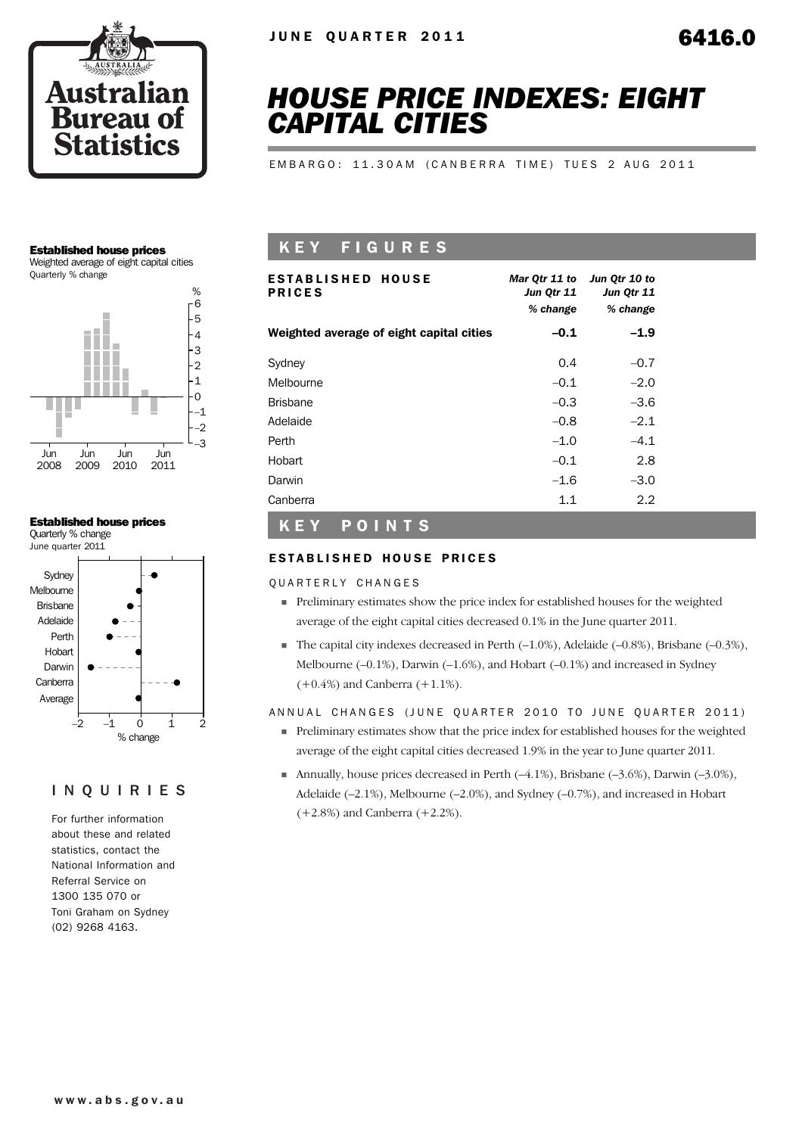

# *HOUSE PRICE INDEXES: EIGHT CAPITAL CITIES*

EMBARGO: 11.30AM (CANBERRA TIME) TUES 2 AUG 2011

#### Established house prices

Weighted average of eight capital cities Quarterly % change



# Established house prices

Quarterly % change June quarter 2011



# INQUIRIES

For further information about these and related statistics, contact the National Information and Referral Service on 1300 135 070 or Toni Graham on Sydney (02) 9268 4163.

# K E Y F I G U R E S

| <b>ESTABLISHED HOUSE</b><br><b>PRICES</b> | Mar Qtr 11 to<br>Jun Qtr 11<br>% change | Jun Qtr 10 to<br>Jun Qtr 11<br>% change |
|-------------------------------------------|-----------------------------------------|-----------------------------------------|
| Weighted average of eight capital cities  | $-0.1$                                  | $-1.9$                                  |
| Sydney                                    | 0.4                                     | $-0.7$                                  |
| Melbourne                                 | $-0.1$                                  | $-2.0$                                  |
| <b>Brisbane</b>                           | $-0.3$                                  | $-3.6$                                  |
| Adelaide                                  | $-0.8$                                  | $-2.1$                                  |
| Perth                                     | $-1.0$                                  | $-4.1$                                  |
| Hobart                                    | $-0.1$                                  | 2.8                                     |
| Darwin                                    | $-1.6$                                  | $-3.0$                                  |
| Canberra                                  | 1.1                                     | 2.2                                     |

#### K E Y P O I N T S

#### ESTABLISHED HOUSE PRICES

QUARTERLY CHANGES

- ! Preliminary estimates show the price index for established houses for the weighted average of the eight capital cities decreased 0.1% in the June quarter 2011.
- $\blacksquare$  The capital city indexes decreased in Perth (-1.0%), Adelaide (-0.8%), Brisbane (-0.3%), Melbourne (–0.1%), Darwin (–1.6%), and Hobart (–0.1%) and increased in Sydney (+0.4%) and Canberra (+1.1%).

ANNUAL CHANGES (JUNE QUARTER 2010 TO JUNE QUARTER 2011)

- ! Preliminary estimates show that the price index for established houses for the weighted average of the eight capital cities decreased 1.9% in the year to June quarter 2011.
- **I** Annually, house prices decreased in Perth  $(-4.1\%)$ , Brisbane  $(-3.6\%)$ , Darwin  $(-3.0\%)$ , Adelaide (–2.1%), Melbourne (–2.0%), and Sydney (–0.7%), and increased in Hobart (+2.8%) and Canberra (+2.2%).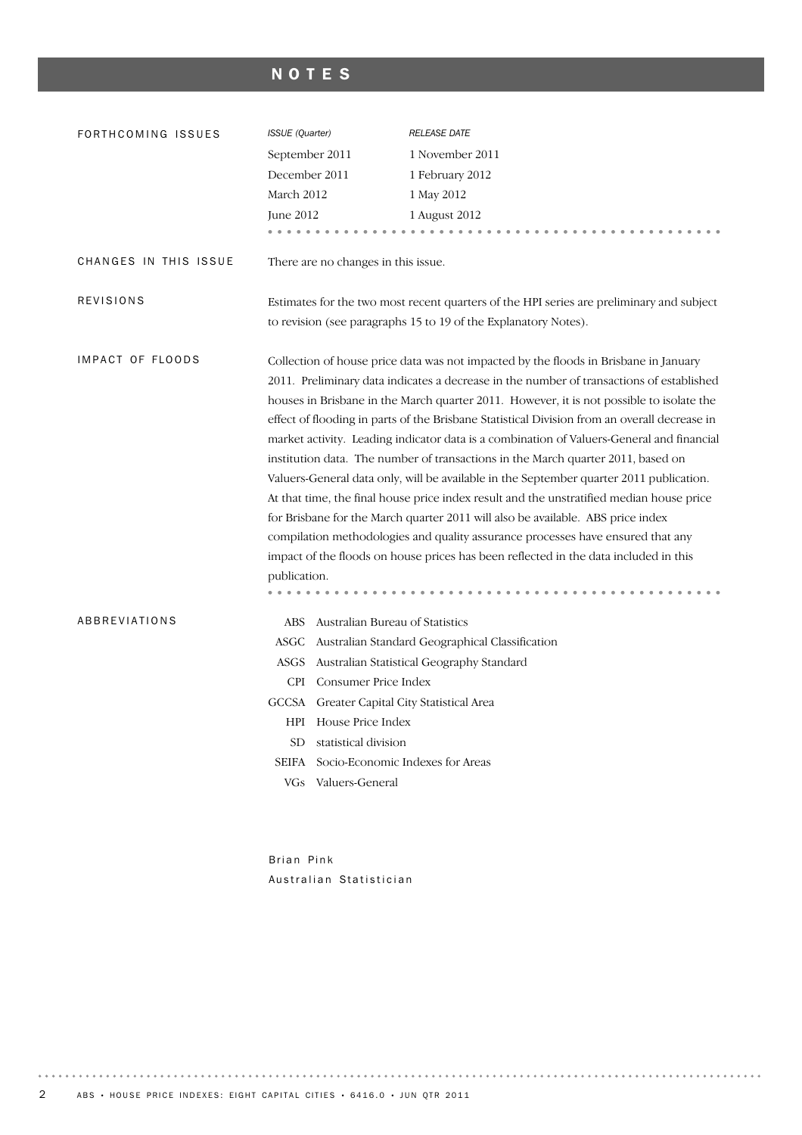# NOTES

| FORTHCOMING ISSUES    | ISSUE (Quarter)                                                                           | <b>RELEASE DATE</b>                                                                          |  |  |  |  |
|-----------------------|-------------------------------------------------------------------------------------------|----------------------------------------------------------------------------------------------|--|--|--|--|
|                       | September 2011                                                                            | 1 November 2011                                                                              |  |  |  |  |
|                       | December 2011                                                                             | 1 February 2012                                                                              |  |  |  |  |
|                       | March 2012                                                                                | 1 May 2012                                                                                   |  |  |  |  |
|                       | June 2012                                                                                 | 1 August 2012                                                                                |  |  |  |  |
|                       |                                                                                           |                                                                                              |  |  |  |  |
| CHANGES IN THIS ISSUE | There are no changes in this issue.                                                       |                                                                                              |  |  |  |  |
| <b>REVISIONS</b>      |                                                                                           | Estimates for the two most recent quarters of the HPI series are preliminary and subject     |  |  |  |  |
|                       |                                                                                           | to revision (see paragraphs 15 to 19 of the Explanatory Notes).                              |  |  |  |  |
| IMPACT OF FLOODS      |                                                                                           | Collection of house price data was not impacted by the floods in Brisbane in January         |  |  |  |  |
|                       |                                                                                           | 2011. Preliminary data indicates a decrease in the number of transactions of established     |  |  |  |  |
|                       |                                                                                           | houses in Brisbane in the March quarter 2011. However, it is not possible to isolate the     |  |  |  |  |
|                       |                                                                                           | effect of flooding in parts of the Brisbane Statistical Division from an overall decrease in |  |  |  |  |
|                       | market activity. Leading indicator data is a combination of Valuers-General and financial |                                                                                              |  |  |  |  |
|                       |                                                                                           | institution data. The number of transactions in the March quarter 2011, based on             |  |  |  |  |
|                       |                                                                                           | Valuers-General data only, will be available in the September quarter 2011 publication.      |  |  |  |  |
|                       |                                                                                           | At that time, the final house price index result and the unstratified median house price     |  |  |  |  |
|                       |                                                                                           | for Brisbane for the March quarter 2011 will also be available. ABS price index              |  |  |  |  |
|                       |                                                                                           | compilation methodologies and quality assurance processes have ensured that any              |  |  |  |  |
|                       |                                                                                           | impact of the floods on house prices has been reflected in the data included in this         |  |  |  |  |
|                       | publication.                                                                              |                                                                                              |  |  |  |  |
|                       |                                                                                           |                                                                                              |  |  |  |  |
| ABBREVIATIONS         | ABS Australian Bureau of Statistics                                                       |                                                                                              |  |  |  |  |
|                       |                                                                                           | ASGC Australian Standard Geographical Classification                                         |  |  |  |  |
|                       |                                                                                           | ASGS Australian Statistical Geography Standard                                               |  |  |  |  |
|                       | CPI Consumer Price Index                                                                  |                                                                                              |  |  |  |  |
|                       | GCCSA Greater Capital City Statistical Area                                               |                                                                                              |  |  |  |  |
|                       | HPI House Price Index                                                                     |                                                                                              |  |  |  |  |
|                       | <b>SD</b><br>statistical division                                                         |                                                                                              |  |  |  |  |
|                       | SEIFA                                                                                     | Socio-Economic Indexes for Areas                                                             |  |  |  |  |
|                       | Valuers-General<br>VGs.                                                                   |                                                                                              |  |  |  |  |
|                       |                                                                                           |                                                                                              |  |  |  |  |

Brian Pink Australian Statistician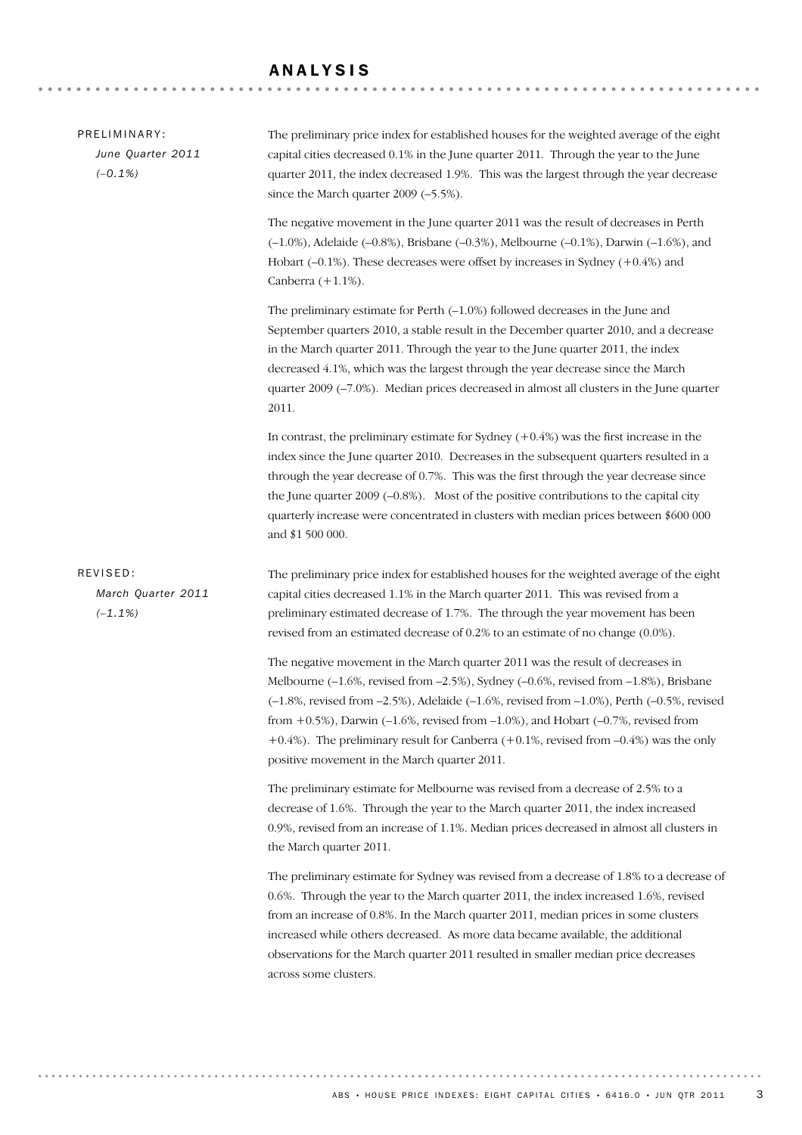# ANALYSIS

| PRELIMINARY:<br>June Quarter 2011<br>$(-0.1\%)$ | The preliminary price index for established houses for the weighted average of the eight<br>capital cities decreased 0.1% in the June quarter 2011. Through the year to the June<br>quarter 2011, the index decreased 1.9%. This was the largest through the year decrease<br>since the March quarter 2009 (-5.5%).                                                                                                                                                                                                        |
|-------------------------------------------------|----------------------------------------------------------------------------------------------------------------------------------------------------------------------------------------------------------------------------------------------------------------------------------------------------------------------------------------------------------------------------------------------------------------------------------------------------------------------------------------------------------------------------|
|                                                 | The negative movement in the June quarter 2011 was the result of decreases in Perth<br>$(-1.0\%)$ , Adelaide $(-0.8\%)$ , Brisbane $(-0.3\%)$ , Melbourne $(-0.1\%)$ , Darwin $(-1.6\%)$ , and<br>Hobart $(-0.1\%)$ . These decreases were offset by increases in Sydney $(+0.4\%)$ and<br>Canberra $(+1.1\%)$ .                                                                                                                                                                                                           |
|                                                 | The preliminary estimate for Perth $(-1.0\%)$ followed decreases in the June and<br>September quarters 2010, a stable result in the December quarter 2010, and a decrease<br>in the March quarter 2011. Through the year to the June quarter 2011, the index<br>decreased 4.1%, which was the largest through the year decrease since the March<br>quarter 2009 (-7.0%). Median prices decreased in almost all clusters in the June quarter<br>2011.                                                                       |
|                                                 | In contrast, the preliminary estimate for Sydney $(+0.4%)$ was the first increase in the<br>index since the June quarter 2010. Decreases in the subsequent quarters resulted in a<br>through the year decrease of 0.7%. This was the first through the year decrease since<br>the June quarter $2009$ ( $-0.8\%$ ). Most of the positive contributions to the capital city<br>quarterly increase were concentrated in clusters with median prices between \$600 000<br>and \$1 500 000.                                    |
| REVISED:<br>March Quarter 2011<br>$(-1.1\%)$    | The preliminary price index for established houses for the weighted average of the eight<br>capital cities decreased 1.1% in the March quarter 2011. This was revised from a<br>preliminary estimated decrease of 1.7%. The through the year movement has been<br>revised from an estimated decrease of 0.2% to an estimate of no change (0.0%).                                                                                                                                                                           |
|                                                 | The negative movement in the March quarter 2011 was the result of decreases in<br>Melbourne (-1.6%, revised from -2.5%), Sydney (-0.6%, revised from -1.8%), Brisbane<br>$(-1.8\%$ , revised from $-2.5\%$ ), Adelaide $(-1.6\%$ , revised from $-1.0\%$ ), Perth $(-0.5\%$ , revised<br>from $+0.5%$ ), Darwin (-1.6%, revised from -1.0%), and Hobart (-0.7%, revised from<br>+0.4%). The preliminary result for Canberra $(+0.1\%$ , revised from $-0.4\%$ was the only<br>positive movement in the March quarter 2011. |
|                                                 | The preliminary estimate for Melbourne was revised from a decrease of 2.5% to a<br>decrease of 1.6%. Through the year to the March quarter 2011, the index increased<br>0.9%, revised from an increase of 1.1%. Median prices decreased in almost all clusters in<br>the March quarter 2011.                                                                                                                                                                                                                               |
|                                                 | The preliminary estimate for Sydney was revised from a decrease of 1.8% to a decrease of<br>0.6%. Through the year to the March quarter 2011, the index increased 1.6%, revised<br>from an increase of 0.8%. In the March quarter 2011, median prices in some clusters<br>increased while others decreased. As more data became available, the additional<br>observations for the March quarter 2011 resulted in smaller median price decreases<br>across some clusters.                                                   |
|                                                 |                                                                                                                                                                                                                                                                                                                                                                                                                                                                                                                            |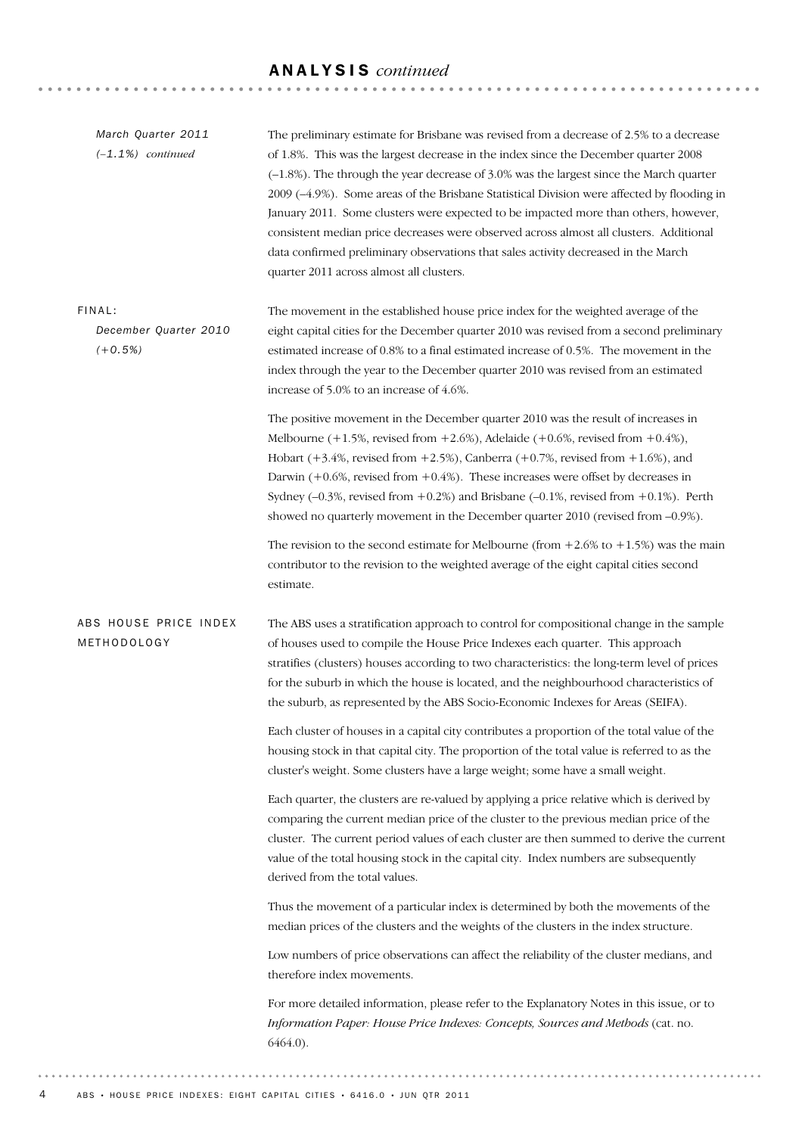# ANALYSIS *continued*

| March Quarter 2011<br>$(-1.1\%)$ continued   | The preliminary estimate for Brisbane was revised from a decrease of 2.5% to a decrease<br>of 1.8%. This was the largest decrease in the index since the December quarter 2008<br>(-1.8%). The through the year decrease of 3.0% was the largest since the March quarter<br>2009 (-4.9%). Some areas of the Brisbane Statistical Division were affected by flooding in<br>January 2011. Some clusters were expected to be impacted more than others, however,<br>consistent median price decreases were observed across almost all clusters. Additional<br>data confirmed preliminary observations that sales activity decreased in the March<br>quarter 2011 across almost all clusters. |
|----------------------------------------------|-------------------------------------------------------------------------------------------------------------------------------------------------------------------------------------------------------------------------------------------------------------------------------------------------------------------------------------------------------------------------------------------------------------------------------------------------------------------------------------------------------------------------------------------------------------------------------------------------------------------------------------------------------------------------------------------|
| FINAL:<br>December Quarter 2010<br>$(+0.5%)$ | The movement in the established house price index for the weighted average of the<br>eight capital cities for the December quarter 2010 was revised from a second preliminary<br>estimated increase of 0.8% to a final estimated increase of 0.5%. The movement in the<br>index through the year to the December quarter 2010 was revised from an estimated<br>increase of 5.0% to an increase of 4.6%.                                                                                                                                                                                                                                                                                   |
|                                              | The positive movement in the December quarter 2010 was the result of increases in<br>Melbourne $(+1.5\%$ , revised from $+2.6\%$ ), Adelaide $(+0.6\%$ , revised from $+0.4\%$ ),<br>Hobart $(+3.4\%$ , revised from $+2.5\%$ ), Canberra $(+0.7\%$ , revised from $+1.6\%$ ), and<br>Darwin $(+0.6\%$ , revised from $+0.4\%$ ). These increases were offset by decreases in<br>Sydney ( $-0.3$ %, revised from $+0.2$ %) and Brisbane ( $-0.1$ %, revised from $+0.1$ %). Perth<br>showed no quarterly movement in the December quarter 2010 (revised from -0.9%).                                                                                                                      |
|                                              | The revision to the second estimate for Melbourne (from $+2.6\%$ to $+1.5\%$ ) was the main<br>contributor to the revision to the weighted average of the eight capital cities second<br>estimate.                                                                                                                                                                                                                                                                                                                                                                                                                                                                                        |
| ABS HOUSE PRICE INDEX<br>METHODOLOGY         | The ABS uses a stratification approach to control for compositional change in the sample<br>of houses used to compile the House Price Indexes each quarter. This approach<br>stratifies (clusters) houses according to two characteristics: the long-term level of prices<br>for the suburb in which the house is located, and the neighbourhood characteristics of<br>the suburb, as represented by the ABS Socio-Economic Indexes for Areas (SEIFA).                                                                                                                                                                                                                                    |
|                                              | Each cluster of houses in a capital city contributes a proportion of the total value of the<br>housing stock in that capital city. The proportion of the total value is referred to as the<br>cluster's weight. Some clusters have a large weight; some have a small weight.                                                                                                                                                                                                                                                                                                                                                                                                              |
|                                              | Each quarter, the clusters are re-valued by applying a price relative which is derived by<br>comparing the current median price of the cluster to the previous median price of the<br>cluster. The current period values of each cluster are then summed to derive the current<br>value of the total housing stock in the capital city. Index numbers are subsequently<br>derived from the total values.                                                                                                                                                                                                                                                                                  |
|                                              | Thus the movement of a particular index is determined by both the movements of the<br>median prices of the clusters and the weights of the clusters in the index structure.                                                                                                                                                                                                                                                                                                                                                                                                                                                                                                               |
|                                              | Low numbers of price observations can affect the reliability of the cluster medians, and<br>therefore index movements.                                                                                                                                                                                                                                                                                                                                                                                                                                                                                                                                                                    |
|                                              | For more detailed information, please refer to the Explanatory Notes in this issue, or to<br>Information Paper: House Price Indexes: Concepts, Sources and Methods (cat. no.<br>$6464.0$ ).                                                                                                                                                                                                                                                                                                                                                                                                                                                                                               |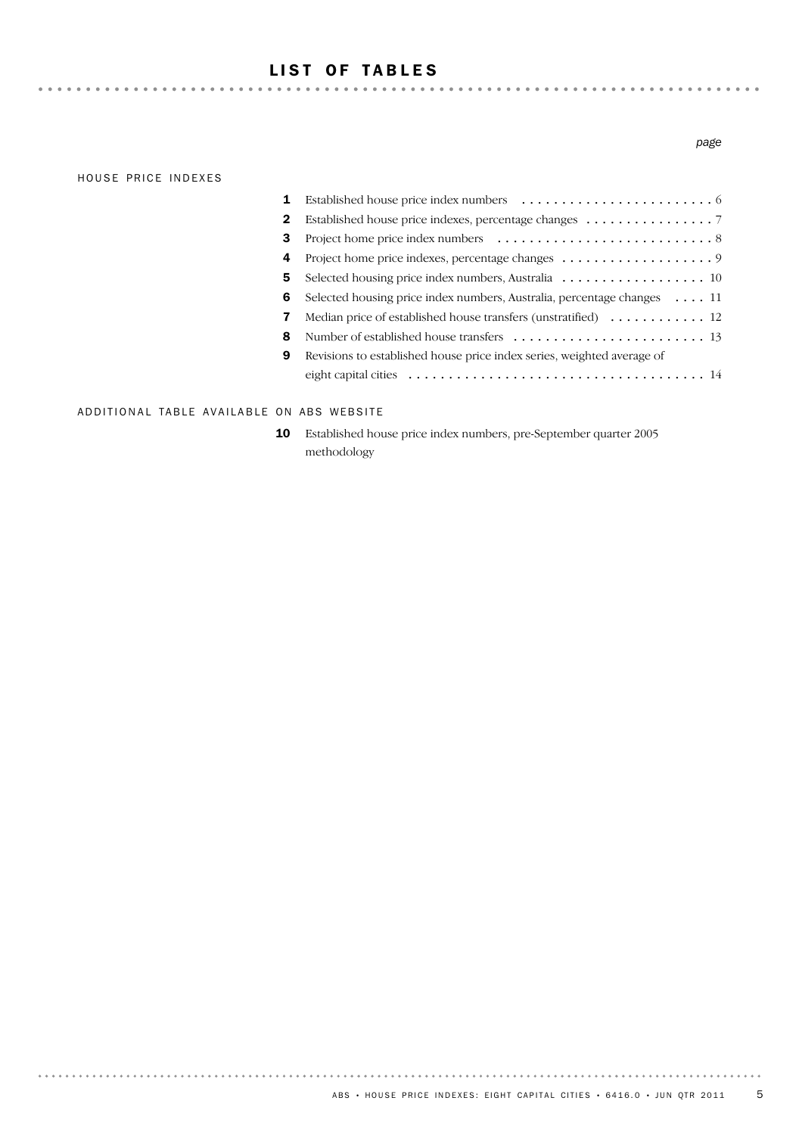# LIST OF TABLES

#### HOUSE PRICE INDEXES

## 14 eight capital cities ..................................... Revisions to established house price index series, weighted average of 9 8 Number of established house transfers ........................ 13 7 Median price of established house transfers (unstratified) .............. 12 6 Selected housing price index numbers, Australia, percentage changes .... 11 5 Selected housing price index numbers, Australia . . . . . . . . . . . . . . . . . . 10 4 Project home price indexes, percentage changes ................... 9 3 Project home price index numbers ........................... 8 2 Established house price indexes, percentage changes ........................... 1 Established house price index numbers ........................ 6

#### ADDITIONAL TABLE AVAILABLE ON ABS WEBSITE

Established house price index numbers, pre-September quarter 2005 methodology 10

#### *page*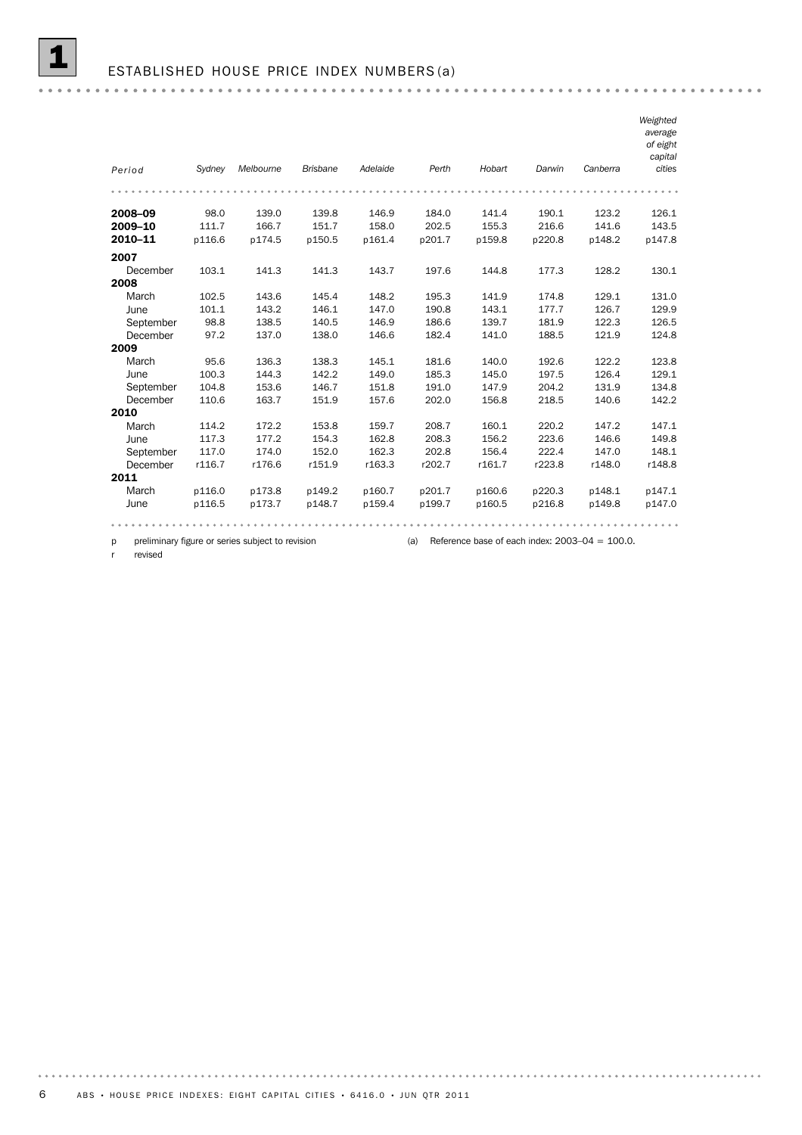|           |        |                                                  |                 |          |        |                                                   |        |          | Weighted<br>average<br>of eight<br>capital |
|-----------|--------|--------------------------------------------------|-----------------|----------|--------|---------------------------------------------------|--------|----------|--------------------------------------------|
| Period    | Sydney | Melbourne                                        | <b>Brisbane</b> | Adelaide | Perth  | Hobart                                            | Darwin | Canberra | cities                                     |
|           |        |                                                  |                 |          |        |                                                   |        |          |                                            |
| 2008-09   | 98.0   | 139.0                                            | 139.8           | 146.9    | 184.0  | 141.4                                             | 190.1  | 123.2    | 126.1                                      |
| 2009-10   | 111.7  | 166.7                                            | 151.7           | 158.0    | 202.5  | 155.3                                             | 216.6  | 141.6    | 143.5                                      |
| 2010-11   | p116.6 | p174.5                                           | p150.5          | p161.4   | p201.7 | p159.8                                            | p220.8 | p148.2   | p147.8                                     |
| 2007      |        |                                                  |                 |          |        |                                                   |        |          |                                            |
| December  | 103.1  | 141.3                                            | 141.3           | 143.7    | 197.6  | 144.8                                             | 177.3  | 128.2    | 130.1                                      |
| 2008      |        |                                                  |                 |          |        |                                                   |        |          |                                            |
| March     | 102.5  | 143.6                                            | 145.4           | 148.2    | 195.3  | 141.9                                             | 174.8  | 129.1    | 131.0                                      |
| June      | 101.1  | 143.2                                            | 146.1           | 147.0    | 190.8  | 143.1                                             | 177.7  | 126.7    | 129.9                                      |
| September | 98.8   | 138.5                                            | 140.5           | 146.9    | 186.6  | 139.7                                             | 181.9  | 122.3    | 126.5                                      |
| December  | 97.2   | 137.0                                            | 138.0           | 146.6    | 182.4  | 141.0                                             | 188.5  | 121.9    | 124.8                                      |
| 2009      |        |                                                  |                 |          |        |                                                   |        |          |                                            |
| March     | 95.6   | 136.3                                            | 138.3           | 145.1    | 181.6  | 140.0                                             | 192.6  | 122.2    | 123.8                                      |
| June      | 100.3  | 144.3                                            | 142.2           | 149.0    | 185.3  | 145.0                                             | 197.5  | 126.4    | 129.1                                      |
| September | 104.8  | 153.6                                            | 146.7           | 151.8    | 191.0  | 147.9                                             | 204.2  | 131.9    | 134.8                                      |
| December  | 110.6  | 163.7                                            | 151.9           | 157.6    | 202.0  | 156.8                                             | 218.5  | 140.6    | 142.2                                      |
| 2010      |        |                                                  |                 |          |        |                                                   |        |          |                                            |
| March     | 114.2  | 172.2                                            | 153.8           | 159.7    | 208.7  | 160.1                                             | 220.2  | 147.2    | 147.1                                      |
| June      | 117.3  | 177.2                                            | 154.3           | 162.8    | 208.3  | 156.2                                             | 223.6  | 146.6    | 149.8                                      |
| September | 117.0  | 174.0                                            | 152.0           | 162.3    | 202.8  | 156.4                                             | 222.4  | 147.0    | 148.1                                      |
| December  | r116.7 | r176.6                                           | r151.9          | r163.3   | r202.7 | r161.7                                            | r223.8 | r148.0   | r148.8                                     |
| 2011      |        |                                                  |                 |          |        |                                                   |        |          |                                            |
| March     | p116.0 | p173.8                                           | p149.2          | p160.7   | p201.7 | p160.6                                            | p220.3 | p148.1   | p147.1                                     |
| June      | p116.5 | p173.7                                           | p148.7          | p159.4   | p199.7 | p160.5                                            | p216.8 | p149.8   | p147.0                                     |
|           |        |                                                  |                 |          |        |                                                   |        |          |                                            |
| p         |        | preliminary figure or series subject to revision |                 |          | (a)    | Reference base of each index: $2003-04 = 100.0$ . |        |          |                                            |

r revised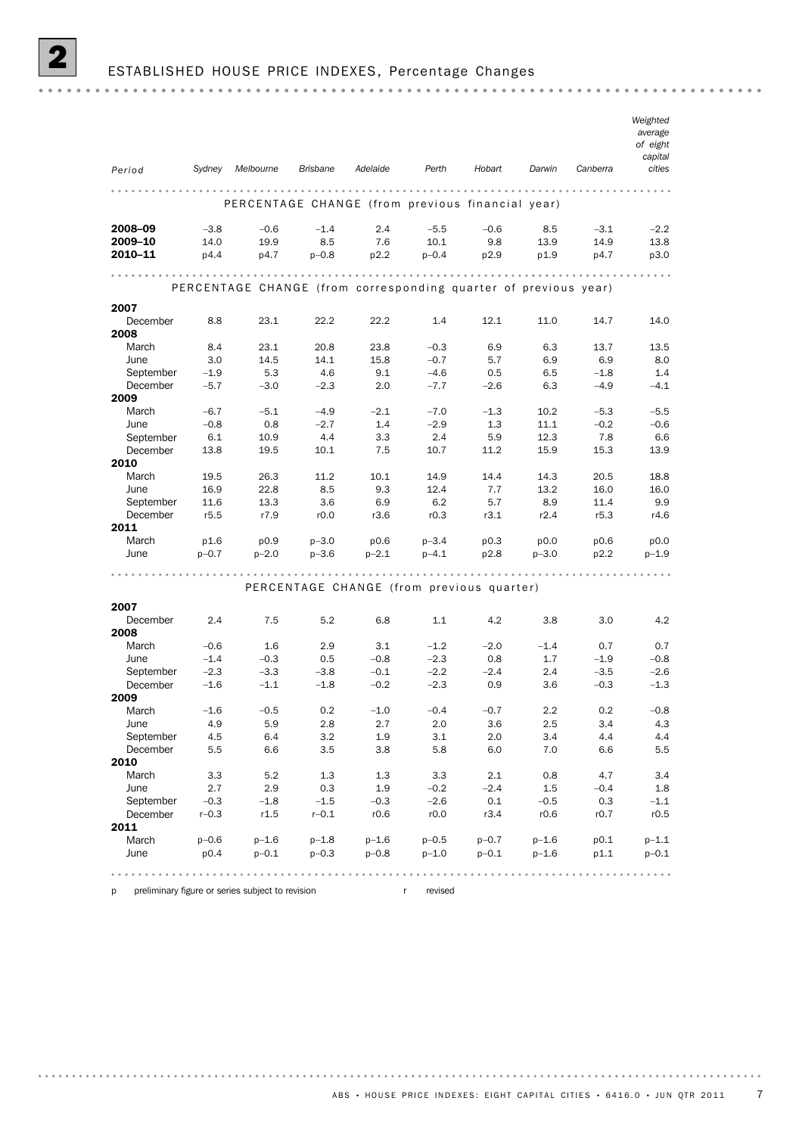|                  |           |                                                                 |                 |           |           |                                           |           |          | Weighted<br>average<br>of eight<br>capital                   |
|------------------|-----------|-----------------------------------------------------------------|-----------------|-----------|-----------|-------------------------------------------|-----------|----------|--------------------------------------------------------------|
| Period           | Sydney    | Melbourne                                                       | <b>Brisbane</b> | Adelaide  | Perth     | Hobart                                    | Darwin    | Canberra | cities                                                       |
|                  |           |                                                                 |                 |           |           |                                           |           |          |                                                              |
|                  |           | PERCENTAGE CHANGE (from previous financial year)                |                 |           |           |                                           |           |          |                                                              |
| 2008-09          | $-3.8$    | $-0.6$                                                          | $-1.4$          | 2.4       | $-5.5$    | $-0.6$                                    | 8.5       | $-3.1$   | $-2.2$                                                       |
| 2009-10          | 14.0      | 19.9                                                            | 8.5             | 7.6       | 10.1      | 9.8                                       | 13.9      | 14.9     | 13.8                                                         |
| 2010-11          | p4.4      | p4.7                                                            | $p - 0.8$       | p2.2      | $p - 0.4$ | p2.9                                      | p1.9      | p4.7     | p3.0                                                         |
| .                |           |                                                                 |                 |           |           |                                           |           |          | $\begin{array}{ccccccccccccc} a & a & b & a & b \end{array}$ |
|                  |           | PERCENTAGE CHANGE (from corresponding quarter of previous year) |                 |           |           |                                           |           |          |                                                              |
| 2007             |           |                                                                 |                 |           |           |                                           |           |          |                                                              |
| December         | 8.8       | 23.1                                                            | 22.2            | 22.2      | 1.4       | 12.1                                      | 11.0      | 14.7     | 14.0                                                         |
| 2008             |           |                                                                 |                 |           |           |                                           |           |          |                                                              |
| March            | 8.4       | 23.1                                                            | 20.8            | 23.8      | $-0.3$    | 6.9                                       | 6.3       | 13.7     | 13.5                                                         |
| June             | 3.0       | 14.5                                                            | 14.1            | 15.8      | $-0.7$    | 5.7                                       | 6.9       | 6.9      | 8.0                                                          |
| September        | $-1.9$    | 5.3                                                             | 4.6             | 9.1       | $-4.6$    | 0.5                                       | 6.5       | $-1.8$   | 1.4                                                          |
| December<br>2009 | $-5.7$    | $-3.0$                                                          | $-2.3$          | 2.0       | $-7.7$    | $-2.6$                                    | 6.3       | $-4.9$   | $-4.1$                                                       |
| March            | $-6.7$    | $-5.1$                                                          | $-4.9$          | $-2.1$    | $-7.0$    | $-1.3$                                    | 10.2      | $-5.3$   | $-5.5$                                                       |
| June             | $-0.8$    | 0.8                                                             | $-2.7$          | 1.4       | $-2.9$    | 1.3                                       | 11.1      | $-0.2$   | $-0.6$                                                       |
| September        | 6.1       | 10.9                                                            | 4.4             | 3.3       | 2.4       | 5.9                                       | 12.3      | 7.8      | 6.6                                                          |
| December         | 13.8      | 19.5                                                            | 10.1            | 7.5       | 10.7      | 11.2                                      | 15.9      | 15.3     | 13.9                                                         |
| 2010             |           |                                                                 |                 |           |           |                                           |           |          |                                                              |
| March            | 19.5      | 26.3                                                            | 11.2            | 10.1      | 14.9      | 14.4                                      | 14.3      | 20.5     | 18.8                                                         |
| June             | 16.9      | 22.8                                                            | 8.5             | 9.3       | 12.4      | 7.7                                       | 13.2      | 16.0     | 16.0                                                         |
| September        | 11.6      | 13.3                                                            | 3.6             | 6.9       | 6.2       | 5.7                                       | 8.9       | 11.4     | 9.9                                                          |
| December         | r5.5      | r7.9                                                            | r0.0            | r3.6      | r0.3      | r3.1                                      | r2.4      | r5.3     | r4.6                                                         |
| 2011             |           |                                                                 |                 |           |           |                                           |           |          |                                                              |
| March            | p1.6      | p0.9                                                            | $p - 3.0$       | p0.6      | $p - 3.4$ | p0.3                                      | p0.0      | p0.6     | p0.0                                                         |
| June             | $p - 0.7$ | $p - 2.0$                                                       | $p - 3.6$       | $p - 2.1$ | $p - 4.1$ | p2.8                                      | $p - 3.0$ | p2.2     | $p-1.9$                                                      |
|                  |           |                                                                 |                 |           |           |                                           |           |          |                                                              |
|                  |           |                                                                 |                 |           |           | PERCENTAGE CHANGE (from previous quarter) |           |          |                                                              |
| 2007             |           |                                                                 |                 |           |           |                                           |           |          |                                                              |
| December<br>2008 | 2.4       | 7.5                                                             | 5.2             | 6.8       | 1.1       | 4.2                                       | 3.8       | 3.0      | 4.2                                                          |
| March            | $-0.6$    | $1.6\phantom{0}$                                                | 2.9             | 3.1       | $-1.2$    | $-2.0$                                    | $-1.4$    | 0.7      | 0.7                                                          |
| June             | $-1.4$    | $-0.3$                                                          | 0.5             | $-0.8$    | $-2.3$    | 0.8                                       | 1.7       | $-1.9$   | $-0.8$                                                       |
| September        | $-2.3$    | $-3.3$                                                          | $-3.8$          | $-0.1$    | $-2.2$    | $-2.4$                                    | 2.4       | $-3.5$   | $-2.6$                                                       |
| December         | $-1.6$    | $-1.1$                                                          | $-1.8$          | $-0.2$    | $-2.3$    | 0.9                                       | 3.6       | $-0.3$   | $-1.3$                                                       |
| 2009             |           |                                                                 |                 |           |           |                                           |           |          |                                                              |
| March            | $-1.6$    | $-0.5$                                                          | 0.2             | $-1.0$    | $-0.4$    | $-0.7$                                    | 2.2       | 0.2      | $-0.8$                                                       |
| June             | 4.9       | 5.9                                                             | 2.8             | 2.7       | 2.0       | 3.6                                       | 2.5       | 3.4      | 4.3                                                          |
| September        | 4.5       | 6.4                                                             | 3.2             | 1.9       | 3.1       | 2.0                                       | 3.4       | 4.4      | 4.4                                                          |
| December         | 5.5       | 6.6                                                             | 3.5             | 3.8       | 5.8       | 6.0                                       | 7.0       | 6.6      | 5.5                                                          |
| 2010             |           |                                                                 |                 |           |           |                                           |           |          |                                                              |
| March            | 3.3       | 5.2                                                             | 1.3             | 1.3       | 3.3       | 2.1                                       | 0.8       | 4.7      | 3.4                                                          |
| June             | 2.7       | 2.9                                                             | 0.3             | 1.9       | $-0.2$    | $-2.4$                                    | 1.5       | $-0.4$   | 1.8                                                          |
| September        | $-0.3$    | $-1.8$                                                          | $-1.5$          | $-0.3$    | $-2.6$    | 0.1                                       | $-0.5$    | 0.3      | $-1.1$                                                       |

p preliminary figure or series subject to revision r revised

**2011**<br>March

 $0.000$ 

June p0.4 p–0.1 p–0.3 p–0.8 p–1.0 p–0.1 p–1.6 p1.1 p–0.1 March p–0.6 p–1.6 p–1.8 p–1.6 p–0.5 p–0.7 p–1.6 p0.1 p–1.1

December r–0.3 r1.5 r–0.1 r0.6 r0.0 r3.4 r0.6 r0.7 r0.5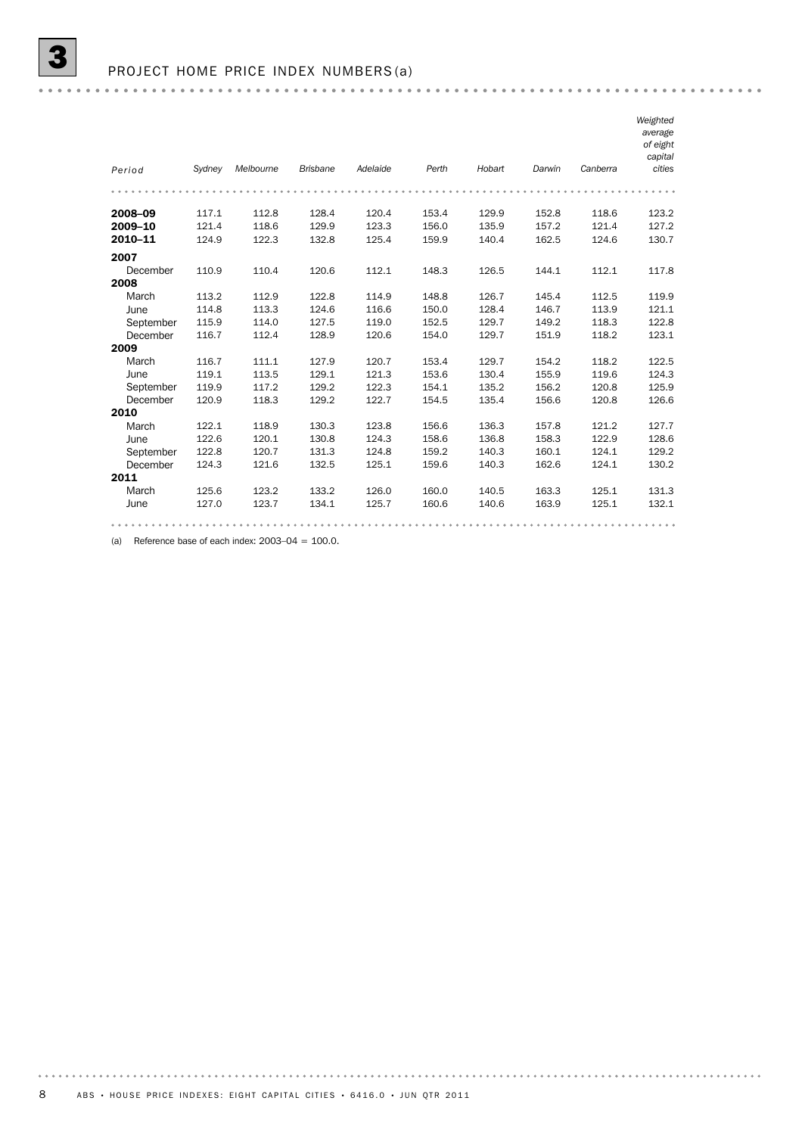| Period    | Sydney | Melbourne | <b>Brisbane</b> | Adelaide | Perth | Hobart | Darwin | Canberra | Weighted<br>average<br>of eight<br>capital<br>cities |
|-----------|--------|-----------|-----------------|----------|-------|--------|--------|----------|------------------------------------------------------|
|           |        |           |                 |          |       |        |        |          |                                                      |
|           |        |           |                 |          |       |        |        |          |                                                      |
| 2008-09   | 117.1  | 112.8     | 128.4           | 120.4    | 153.4 | 129.9  | 152.8  | 118.6    | 123.2                                                |
| 2009-10   | 121.4  | 118.6     | 129.9           | 123.3    | 156.0 | 135.9  | 157.2  | 121.4    | 127.2                                                |
| 2010-11   | 124.9  | 122.3     | 132.8           | 125.4    | 159.9 | 140.4  | 162.5  | 124.6    | 130.7                                                |
| 2007      |        |           |                 |          |       |        |        |          |                                                      |
| December  | 110.9  | 110.4     | 120.6           | 112.1    | 148.3 | 126.5  | 144.1  | 112.1    | 117.8                                                |
| 2008      |        |           |                 |          |       |        |        |          |                                                      |
| March     | 113.2  | 112.9     | 122.8           | 114.9    | 148.8 | 126.7  | 145.4  | 112.5    | 119.9                                                |
| June      | 114.8  | 113.3     | 124.6           | 116.6    | 150.0 | 128.4  | 146.7  | 113.9    | 121.1                                                |
| September | 115.9  | 114.0     | 127.5           | 119.0    | 152.5 | 129.7  | 149.2  | 118.3    | 122.8                                                |
| December  | 116.7  | 112.4     | 128.9           | 120.6    | 154.0 | 129.7  | 151.9  | 118.2    | 123.1                                                |
| 2009      |        |           |                 |          |       |        |        |          |                                                      |
| March     | 116.7  | 111.1     | 127.9           | 120.7    | 153.4 | 129.7  | 154.2  | 118.2    | 122.5                                                |
| June      | 119.1  | 113.5     | 129.1           | 121.3    | 153.6 | 130.4  | 155.9  | 119.6    | 124.3                                                |
| September | 119.9  | 117.2     | 129.2           | 122.3    | 154.1 | 135.2  | 156.2  | 120.8    | 125.9                                                |
| December  | 120.9  | 118.3     | 129.2           | 122.7    | 154.5 | 135.4  | 156.6  | 120.8    | 126.6                                                |
| 2010      |        |           |                 |          |       |        |        |          |                                                      |
| March     | 122.1  | 118.9     | 130.3           | 123.8    | 156.6 | 136.3  | 157.8  | 121.2    | 127.7                                                |
| June      | 122.6  | 120.1     | 130.8           | 124.3    | 158.6 | 136.8  | 158.3  | 122.9    | 128.6                                                |
| September | 122.8  | 120.7     | 131.3           | 124.8    | 159.2 | 140.3  | 160.1  | 124.1    | 129.2                                                |
| December  | 124.3  | 121.6     | 132.5           | 125.1    | 159.6 | 140.3  | 162.6  | 124.1    | 130.2                                                |
| 2011      |        |           |                 |          |       |        |        |          |                                                      |
| March     | 125.6  | 123.2     | 133.2           | 126.0    | 160.0 | 140.5  | 163.3  | 125.1    | 131.3                                                |
| June      | 127.0  | 123.7     | 134.1           | 125.7    | 160.6 | 140.6  | 163.9  | 125.1    | 132.1                                                |
|           |        |           |                 |          |       |        |        |          |                                                      |

(a) Reference base of each index:  $2003-04 = 100.0$ .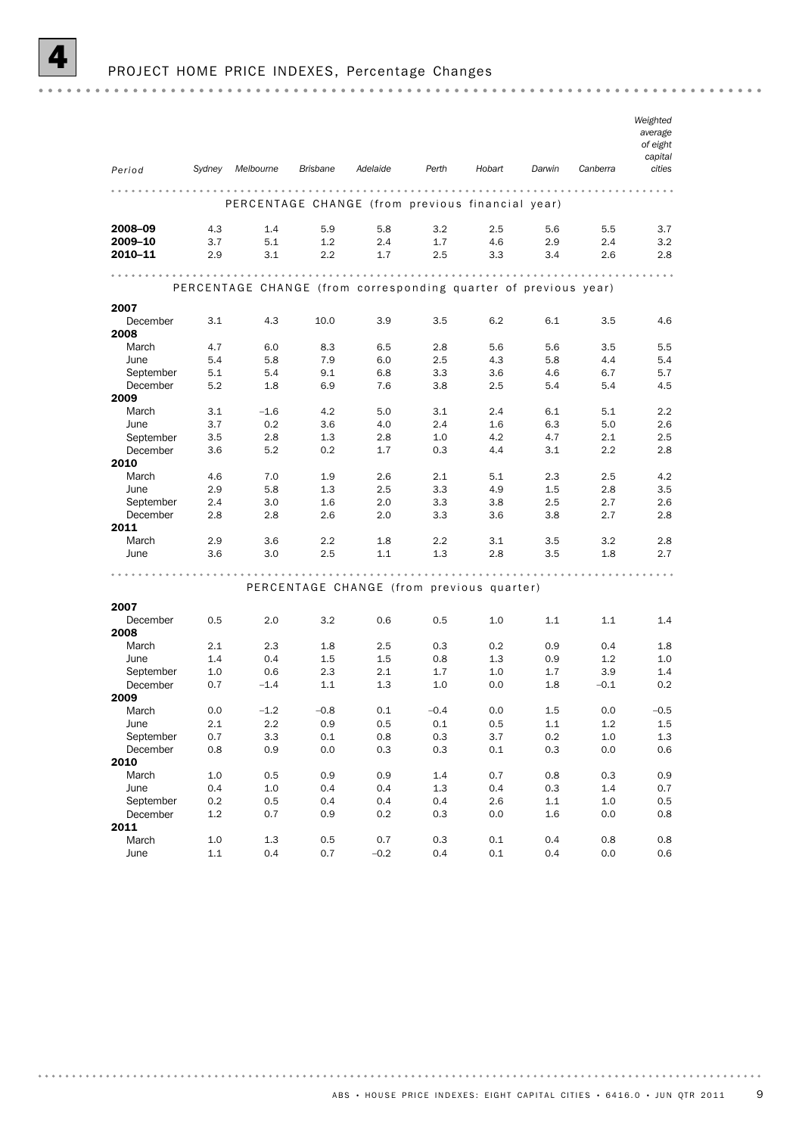

## PROJECT HOME PRICE INDEXES, Percentage Changes

| Period            | Sydney         | Melbourne                                                       | <b>Brisbane</b> | Adelaide                                  | Perth      | Hobart     | Darwin             | Canberra         | Weighted<br>average<br>of eight<br>capital<br>cities |
|-------------------|----------------|-----------------------------------------------------------------|-----------------|-------------------------------------------|------------|------------|--------------------|------------------|------------------------------------------------------|
|                   |                | PERCENTAGE CHANGE (from previous financial year)                |                 |                                           |            |            |                    |                  |                                                      |
|                   |                |                                                                 |                 |                                           |            |            |                    |                  |                                                      |
| 2008-09           | 4.3            | 1.4                                                             | 5.9             | 5.8                                       | 3.2        | 2.5        | 5.6                | 5.5              | 3.7                                                  |
| 2009-10           | 3.7            | 5.1                                                             | 1.2             | 2.4                                       | 1.7        | 4.6        | 2.9                | 2.4              | 3.2                                                  |
| 2010-11           | 2.9            | 3.1                                                             | 2.2             | 1.7                                       | 2.5        | 3.3        | 3.4                | 2.6              | 2.8                                                  |
|                   |                |                                                                 |                 |                                           |            |            |                    |                  |                                                      |
|                   |                | PERCENTAGE CHANGE (from corresponding quarter of previous year) |                 |                                           |            |            |                    |                  |                                                      |
| 2007              |                |                                                                 |                 |                                           |            |            |                    |                  |                                                      |
| December          | 3.1            | 4.3                                                             | 10.0            | 3.9                                       | 3.5        | 6.2        | 6.1                | 3.5              | 4.6                                                  |
| 2008              |                |                                                                 |                 |                                           |            |            |                    |                  |                                                      |
| March             | 4.7            | 6.0                                                             | 8.3             | 6.5                                       | 2.8        | 5.6        | 5.6                | 3.5              | 5.5                                                  |
| June<br>September | 5.4<br>5.1     | 5.8<br>5.4                                                      | 7.9<br>9.1      | 6.0<br>6.8                                | 2.5<br>3.3 | 4.3<br>3.6 | 5.8<br>4.6         | 4.4<br>6.7       | 5.4<br>5.7                                           |
| December          | 5.2            | 1.8                                                             | 6.9             | 7.6                                       | 3.8        | 2.5        | 5.4                | 5.4              | 4.5                                                  |
| 2009              |                |                                                                 |                 |                                           |            |            |                    |                  |                                                      |
| March             | 3.1            | $-1.6$                                                          | 4.2             | 5.0                                       | 3.1        | 2.4        | 6.1                | 5.1              | 2.2                                                  |
| June              | 3.7            | 0.2                                                             | 3.6             | 4.0                                       | 2.4        | 1.6        | 6.3                | 5.0              | 2.6                                                  |
| September         | 3.5            | 2.8                                                             | 1.3             | 2.8                                       | 1.0        | 4.2        | 4.7                | 2.1              | 2.5                                                  |
| December          | 3.6            | 5.2                                                             | 0.2             | 1.7                                       | 0.3        | 4.4        | 3.1                | $2.2\phantom{0}$ | 2.8                                                  |
| 2010              |                |                                                                 | 1.9             |                                           |            |            |                    |                  | 4.2                                                  |
| March<br>June     | 4.6<br>2.9     | 7.0<br>5.8                                                      | 1.3             | 2.6<br>2.5                                | 2.1<br>3.3 | 5.1<br>4.9 | 2.3<br>1.5         | 2.5<br>2.8       | 3.5                                                  |
| September         | 2.4            | 3.0                                                             | 1.6             | 2.0                                       | 3.3        | 3.8        | 2.5                | 2.7              | 2.6                                                  |
| December          | 2.8            | 2.8                                                             | 2.6             | 2.0                                       | 3.3        | 3.6        | 3.8                | 2.7              | 2.8                                                  |
| 2011              |                |                                                                 |                 |                                           |            |            |                    |                  |                                                      |
| March             | 2.9            | 3.6                                                             | 2.2             | 1.8                                       | 2.2        | 3.1        | 3.5                | 3.2              | 2.8                                                  |
| June              | 3.6            | 3.0                                                             | $2.5\,$         | 1.1                                       | 1.3        | 2.8        | 3.5                | 1.8              | 2.7                                                  |
|                   |                |                                                                 |                 |                                           | .          | .          |                    |                  |                                                      |
|                   |                |                                                                 |                 | PERCENTAGE CHANGE (from previous quarter) |            |            |                    |                  |                                                      |
| 2007              |                |                                                                 |                 |                                           |            |            |                    |                  |                                                      |
| December          | 0.5            | 2.0                                                             | 3.2             | 0.6                                       | 0.5        | 1.0        | 1.1                | 1.1              | 1.4                                                  |
| 2008              |                |                                                                 |                 |                                           |            |            |                    |                  |                                                      |
| March             | 2.1            | 2.3                                                             | 1.8             | 2.5                                       | 0.3        | 0.2        | 0.9                | 0.4              | 1.8                                                  |
| June              | 1.4            | 0.4                                                             | $1.5\,$         | 1.5                                       | 0.8        | 1.3        | 0.9                | 1.2              | 1.0                                                  |
| September         | 1.0            | 0.6                                                             | 2.3             | 2.1                                       | 1.7        | 1.0        | 1.7                | 3.9              | 1.4                                                  |
| December<br>2009  | 0.7            | $-1.4$                                                          | 1.1             | 1.3                                       | 1.0        | 0.0        | 1.8                | $-0.1$           | 0.2                                                  |
| March             | 0.0            | $-1.2$                                                          | $-0.8$          | 0.1                                       | $-0.4$     | 0.0        | 1.5                | 0.0              | $-0.5$                                               |
| June              | 2.1            | $2.2\,$                                                         | 0.9             | $0.5\,$                                   | $0.1\,$    | 0.5        | $1.1\,$            | 1.2              | $1.5\,$                                              |
| September         | 0.7            | 3.3                                                             | 0.1             | $0.8\,$                                   | $0.3\,$    | 3.7        | $0.2\,$            | 1.0              | $1.3\,$                                              |
| December          | 0.8            | 0.9                                                             | $0.0\,$         | $0.3\,$                                   | 0.3        | $0.1\,$    | $0.3\,$            | $0.0\,$          | $0.6\,$                                              |
| 2010              |                |                                                                 |                 |                                           |            |            |                    |                  |                                                      |
| March             | $1.0\,$        | 0.5                                                             | 0.9             | 0.9                                       | 1.4        | 0.7        | 0.8                | $0.3\,$          | 0.9                                                  |
| June<br>September | 0.4            | 1.0                                                             | 0.4             | 0.4                                       | 1.3        | 0.4        | $0.3\,$            | 1.4              | 0.7                                                  |
| December          | 0.2<br>$1.2\,$ | $0.5\,$<br>0.7                                                  | 0.4<br>0.9      | 0.4<br>0.2                                | 0.4<br>0.3 | 2.6<br>0.0 | $1.1\,$<br>$1.6\,$ | 1.0<br>0.0       | 0.5<br>0.8                                           |
| 2011              |                |                                                                 |                 |                                           |            |            |                    |                  |                                                      |
| March             | $1.0\,$        | $1.3\,$                                                         | 0.5             | 0.7                                       | $0.3\,$    | $0.1\,$    | 0.4                | $0.8\,$          | 0.8                                                  |
| June              | $1.1\,$        | $0.4\,$                                                         | 0.7             | $-0.2$                                    | 0.4        | 0.1        | 0.4                | 0.0              | $0.6\,$                                              |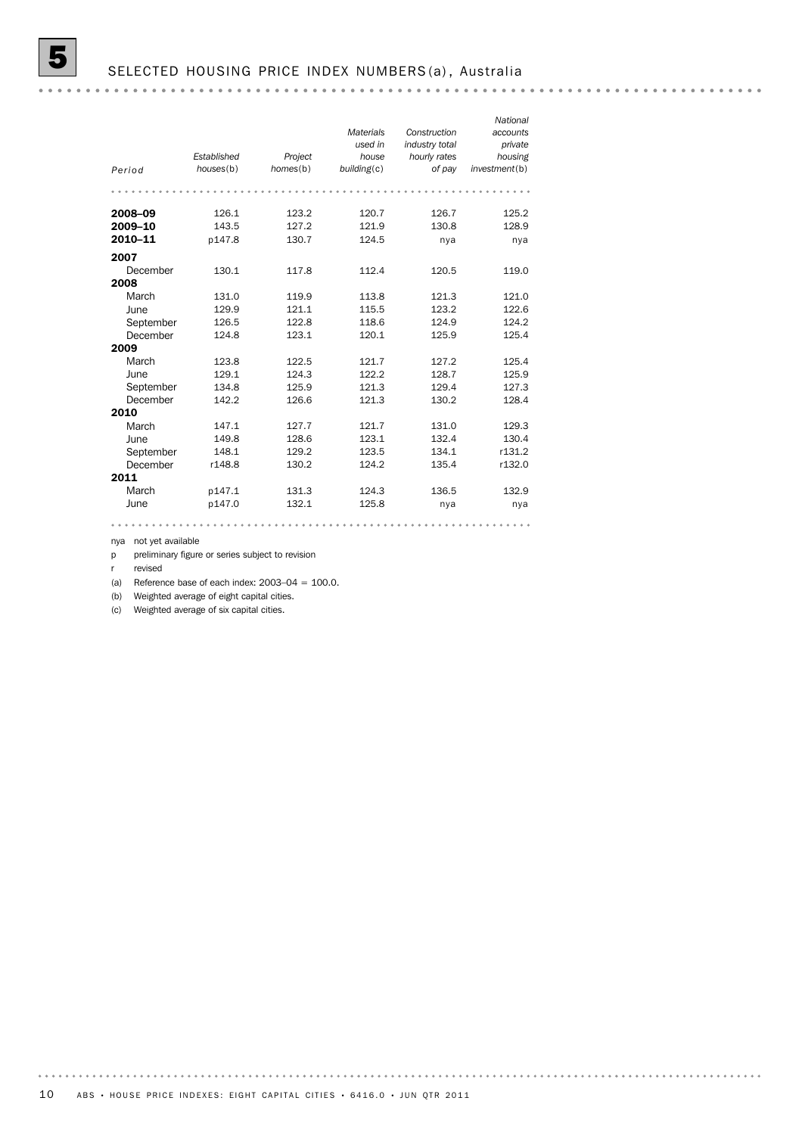| Period             | Established<br>houses(b) | Project<br>homes(b) | <b>Materials</b><br>used in<br>house<br>building(c) | Construction<br>industry total<br>hourly rates<br>of pay | National<br>accounts<br>private<br>housing<br>investment(b) |
|--------------------|--------------------------|---------------------|-----------------------------------------------------|----------------------------------------------------------|-------------------------------------------------------------|
| 2008-09<br>2009-10 | 126.1<br>143.5           | 123.2<br>127.2      | 120.7<br>121.9                                      | 126.7<br>130.8                                           | 125.2<br>128.9                                              |
| 2010-11            | p147.8                   | 130.7               | 124.5                                               | nya                                                      | nya                                                         |
| 2007               |                          |                     |                                                     |                                                          |                                                             |
| December           | 130.1                    | 117.8               | 112.4                                               | 120.5                                                    | 119.0                                                       |
| 2008               |                          |                     |                                                     |                                                          |                                                             |
| March              | 131.0                    | 119.9               | 113.8                                               | 121.3                                                    | 121.0                                                       |
| June               | 129.9                    | 121.1               | 115.5                                               | 123.2                                                    | 122.6                                                       |
| September          | 126.5                    | 122.8               | 118.6                                               | 124.9                                                    | 124.2                                                       |
| December           | 124.8                    | 123.1               | 120.1                                               | 125.9                                                    | 125.4                                                       |
| 2009               |                          |                     |                                                     |                                                          |                                                             |
| March              | 123.8                    | 122.5               | 121.7                                               | 127.2                                                    | 125.4                                                       |
| June               | 129.1                    | 124.3               | 122.2                                               | 128.7                                                    | 125.9                                                       |
| September          | 134.8                    | 125.9               | 121.3                                               | 129.4                                                    | 127.3                                                       |
| December           | 142.2                    | 126.6               | 121.3                                               | 130.2                                                    | 128.4                                                       |
| 2010               |                          |                     |                                                     |                                                          |                                                             |
| March              | 147.1                    | 127.7               | 121.7                                               | 131.0                                                    | 129.3                                                       |
| June               | 149.8                    | 128.6               | 123.1                                               | 132.4                                                    | 130.4                                                       |
| September          | 148.1                    | 129.2               | 123.5                                               | 134.1                                                    | r131.2                                                      |
| December           | r148.8                   | 130.2               | 124.2                                               | 135.4                                                    | r132.0                                                      |
| 2011               |                          |                     |                                                     |                                                          |                                                             |
| March              | p147.1                   | 131.3               | 124.3                                               | 136.5                                                    | 132.9                                                       |
| June               | p147.0                   | 132.1               | 125.8                                               | nya                                                      | nya                                                         |

nya not yet available

p preliminary figure or series subject to revision

r revised

(a) Reference base of each index:  $2003-04 = 100.0$ .

(b) Weighted average of eight capital cities.

(c) Weighted average of six capital cities.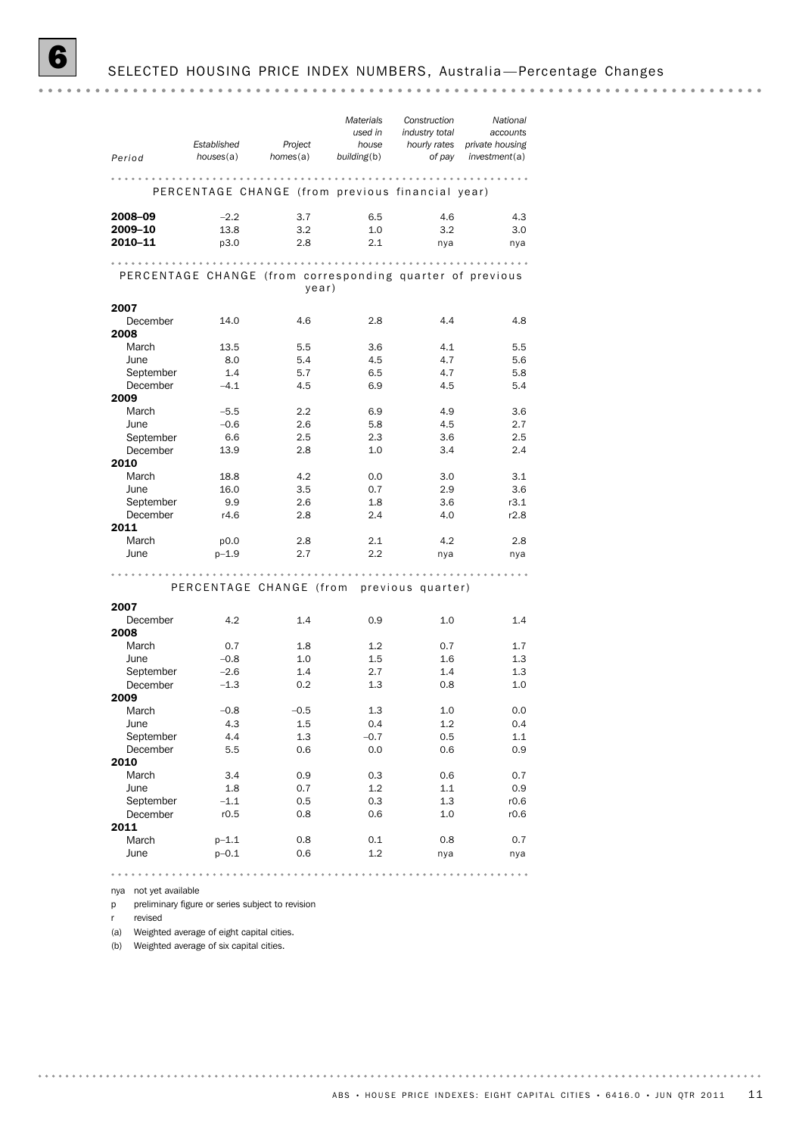# SELECTED HOUSING PRICE INDEX NUMBERS, Australia-Percentage Changes

. . . . . . . . . . . . . . . .

| Period                                | Established<br>houses(a)                                  | Project<br>homes(a) | <b>Materials</b><br>used in<br>house<br>building(b) | Construction<br>industry total<br>hourly rates<br>of pay | National<br>accounts<br>private housing<br>investment(a) |
|---------------------------------------|-----------------------------------------------------------|---------------------|-----------------------------------------------------|----------------------------------------------------------|----------------------------------------------------------|
|                                       |                                                           |                     |                                                     |                                                          |                                                          |
|                                       | PERCENTAGE CHANGE (from previous financial year)          |                     |                                                     |                                                          |                                                          |
| 2008-09                               | $-2.2$                                                    | 3.7                 | 6.5                                                 | 4.6                                                      | 4.3                                                      |
| 2009-10                               | 13.8                                                      | 3.2                 | 1.0                                                 | 3.2                                                      | 3.0                                                      |
| 2010-11                               | p3.0                                                      | 2.8                 | 2.1                                                 | nya                                                      | nya                                                      |
|                                       | PERCENTAGE CHANGE (from corresponding quarter of previous | year)               |                                                     |                                                          |                                                          |
| 2007                                  |                                                           |                     |                                                     |                                                          |                                                          |
| December                              | 14.0                                                      | 4.6                 | 2.8                                                 | 4.4                                                      | 4.8                                                      |
| 2008                                  |                                                           |                     |                                                     |                                                          |                                                          |
| March                                 | 13.5                                                      | 5.5                 | 3.6                                                 | 4.1                                                      | 5.5                                                      |
| June                                  | 8.0                                                       | 5.4                 | 4.5                                                 | 4.7                                                      | 5.6                                                      |
| September<br>December                 | 1.4<br>$-4.1$                                             | 5.7<br>4.5          | 6.5<br>6.9                                          | 4.7<br>4.5                                               | 5.8<br>5.4                                               |
|                                       |                                                           |                     |                                                     |                                                          |                                                          |
|                                       |                                                           |                     |                                                     |                                                          | 3.6                                                      |
|                                       |                                                           |                     |                                                     |                                                          |                                                          |
| March                                 | $-5.5$                                                    | 2.2                 | 6.9                                                 | 4.9                                                      |                                                          |
| June                                  | $-0.6$                                                    | 2.6                 | 5.8                                                 | 4.5                                                      | 2.7                                                      |
| September<br>December                 | 6.6<br>13.9                                               | 2.5<br>2.8          | 2.3<br>1.0                                          | 3.6<br>3.4                                               | 2.5<br>2.4                                               |
|                                       |                                                           |                     |                                                     |                                                          |                                                          |
| March                                 | 18.8                                                      | 4.2                 | 0.0                                                 | 3.0                                                      | 3.1                                                      |
| June                                  | 16.0                                                      | 3.5                 | 0.7                                                 | 2.9                                                      | 3.6                                                      |
| September                             | 9.9                                                       | 2.6                 | 1.8                                                 | 3.6                                                      | r3.1                                                     |
| December                              | r4.6                                                      | 2.8                 | 2.4                                                 | 4.0                                                      | r2.8                                                     |
|                                       |                                                           |                     |                                                     |                                                          |                                                          |
| 2009<br>2010<br>2011<br>March<br>June | p0.0<br>$p - 1.9$                                         | 2.8<br>2.7          | 2.1<br>2.2                                          | 4.2<br>nya                                               | 2.8                                                      |

PERCENTAGE CHANGE (from previous quarter)

| 2007      |           |        |        |     |      |
|-----------|-----------|--------|--------|-----|------|
| December  | 4.2       | 1.4    | 0.9    | 1.0 | 1.4  |
| 2008      |           |        |        |     |      |
| March     | 0.7       | 1.8    | 1.2    | 0.7 | 1.7  |
| June      | $-0.8$    | 1.0    | 1.5    | 1.6 | 1.3  |
| September | $-2.6$    | 1.4    | 2.7    | 1.4 | 1.3  |
| December  | $-1.3$    | 0.2    | 1.3    | 0.8 | 1.0  |
| 2009      |           |        |        |     |      |
| March     | $-0.8$    | $-0.5$ | 1.3    | 1.0 | 0.0  |
| June      | 4.3       | 1.5    | 0.4    | 1.2 | 0.4  |
| September | 4.4       | 1.3    | $-0.7$ | 0.5 | 1.1  |
| December  | 5.5       | 0.6    | 0.0    | 0.6 | 0.9  |
| 2010      |           |        |        |     |      |
| March     | 3.4       | 0.9    | 0.3    | 0.6 | 0.7  |
| June      | 1.8       | 0.7    | 1.2    | 1.1 | 0.9  |
| September | $-1.1$    | 0.5    | 0.3    | 1.3 | r0.6 |
| December  | r0.5      | 0.8    | 0.6    | 1.0 | r0.6 |
| 2011      |           |        |        |     |      |
| March     | $p-1.1$   | 0.8    | 0.1    | 0.8 | 0.7  |
| June      | $p - 0.1$ | 0.6    | 1.2    | nya | nya  |

nya not yet available

p preliminary figure or series subject to revision

r revised

(a) Weighted average of eight capital cities.

(b) Weighted average of six capital cities.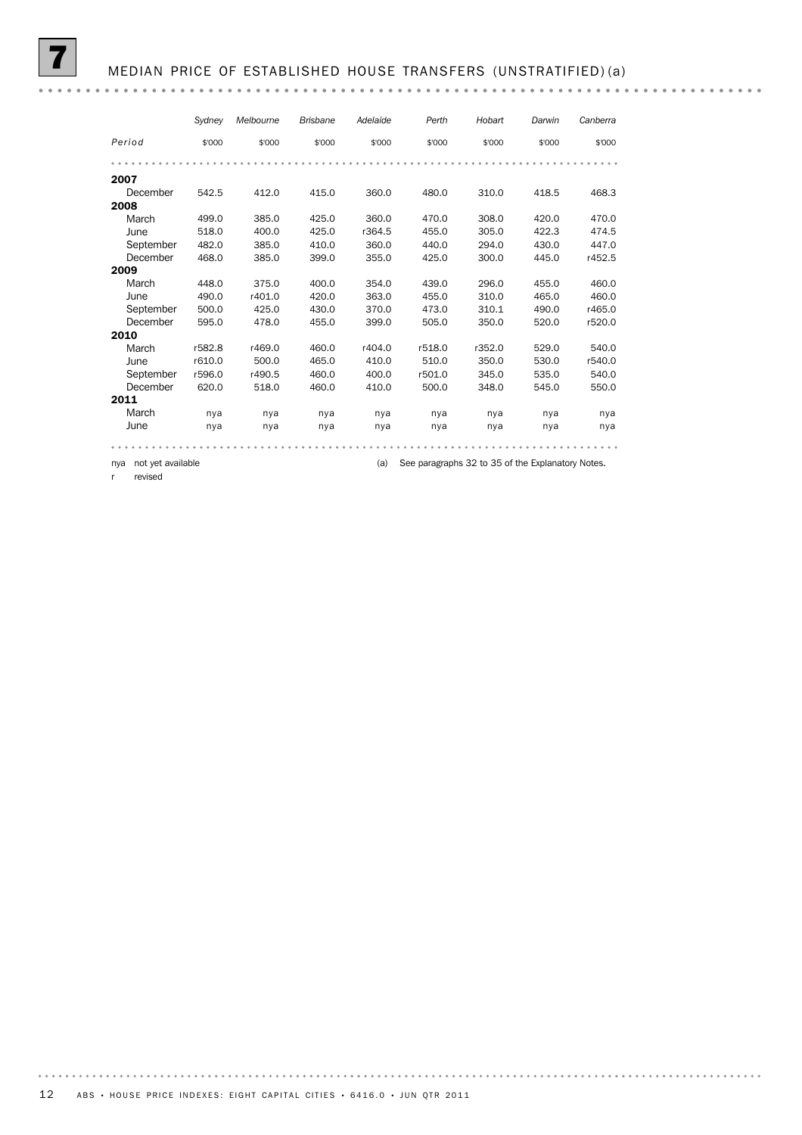## 7 MEDIAN PRICE OF ESTABLISHED HOUSE TRANSFERS (UNSTRATIFIED) (a)

|           | Sydney | Melbourne | <b>Brisbane</b> | Adelaide | Perth  | Hobart | Darwin | Canberra |
|-----------|--------|-----------|-----------------|----------|--------|--------|--------|----------|
| Period    | \$'000 | \$'000    | \$'000          | \$'000   | \$'000 | \$'000 | \$'000 | \$'000   |
|           |        |           |                 |          |        |        |        |          |
| 2007      |        |           |                 |          |        |        |        |          |
| December  | 542.5  | 412.0     | 415.0           | 360.0    | 480.0  | 310.0  | 418.5  | 468.3    |
| 2008      |        |           |                 |          |        |        |        |          |
| March     | 499.0  | 385.0     | 425.0           | 360.0    | 470.0  | 308.0  | 420.0  | 470.0    |
| June      | 518.0  | 400.0     | 425.0           | r364.5   | 455.0  | 305.0  | 422.3  | 474.5    |
| September | 482.0  | 385.0     | 410.0           | 360.0    | 440.0  | 294.0  | 430.0  | 447.0    |
| December  | 468.0  | 385.0     | 399.0           | 355.0    | 425.0  | 300.0  | 445.0  | r452.5   |
| 2009      |        |           |                 |          |        |        |        |          |
| March     | 448.0  | 375.0     | 400.0           | 354.0    | 439.0  | 296.0  | 455.0  | 460.0    |
| June      | 490.0  | r401.0    | 420.0           | 363.0    | 455.0  | 310.0  | 465.0  | 460.0    |
| September | 500.0  | 425.0     | 430.0           | 370.0    | 473.0  | 310.1  | 490.0  | r465.0   |
| December  | 595.0  | 478.0     | 455.0           | 399.0    | 505.0  | 350.0  | 520.0  | r520.0   |
| 2010      |        |           |                 |          |        |        |        |          |
| March     | r582.8 | r469.0    | 460.0           | r404.0   | r518.0 | r352.0 | 529.0  | 540.0    |
| June      | r610.0 | 500.0     | 465.0           | 410.0    | 510.0  | 350.0  | 530.0  | r540.0   |
| September | r596.0 | r490.5    | 460.0           | 400.0    | r501.0 | 345.0  | 535.0  | 540.0    |
| December  | 620.0  | 518.0     | 460.0           | 410.0    | 500.0  | 348.0  | 545.0  | 550.0    |
| 2011      |        |           |                 |          |        |        |        |          |
| March     | nya    | nya       | nya             | nya      | nya    | nya    | nya    | nya      |
| June      | nya    | nya       | nya             | nya      | nya    | nya    | nya    | nya      |
|           |        |           |                 |          |        |        |        |          |

nya not yet available **come that is explanatory controlled to 34** to 35 of the Explanatory Notes.

r revised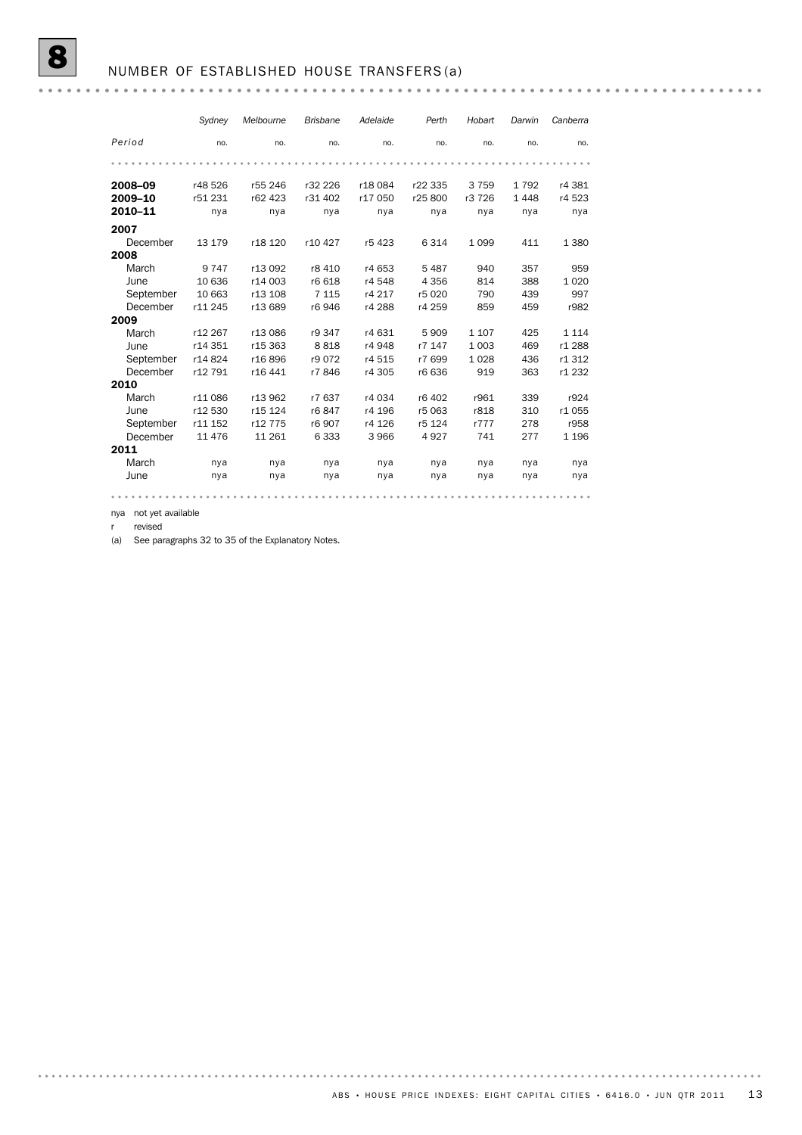#### NUMBER OF ESTABLISHED HOUSE TRANSFERS (a)

#### *Sydney Melbourne Brisbane Adelaide Perth Hobart Darwin Canberra Period* no. no. no. no. no. no. no. no. 2008–09 r48 526 r55 246 r32 226 r18 084 r22 335 3 759 1 792 r4 381 2009–10 r51 231 r62 423 r31 402 r17 050 r25 800 r3 726 1 448 r4 523 2010–11 nya nya nya nya nya nya nya nya 2007 December 13 179 r18 120 r10 427 r5 423 6 314 1 099 411 1 380 2008 March 9 747 r13 092 r8 410 r4 653 5 487 940 357 959 June 10 636 r14 003 r6 618 r4 548 4 356 814 388 1 020 September 10 663 r13 108 7 115 r4 217 r5 020 790 439 997 December r11 245 r13 689 r6 946 r4 288 r4 259 859 459 r982 2009 March r12 267 r13 086 r9 347 r4 631 5 909 1 107 425 1 114 June r14 351 r15 363 8 818 r4 948 r7 147 1 003 469 r1 288 September r14 824 r16 896 r9 072 r4 515 r7 699 1 028 436 r1 312 December r12 791 r16 441 r7 846 r4 305 r6 636 919 363 r1 232 2010 March r11 086 r13 962 r7 637 r4 034 r6 402 r961 339 r924 June r12 530 r15 124 r6 847 r4 196 r5 063 r818 310 r1 055<br>September r11 152 r12 775 r6 907 r4 126 r5 124 r777 278 r958 September r11 152 r12 775 r6 907 r4 126 r5 124 r777 278 r958 December 11 476 11 261 6 333 3 966 4 927 741 277 1 196 2011 March nya nya nya nya nya nya nya nya June nya nya nya nya nya nya nya nya

nya not yet available r revised

(a) See paragraphs 32 to 35 of the Explanatory Notes.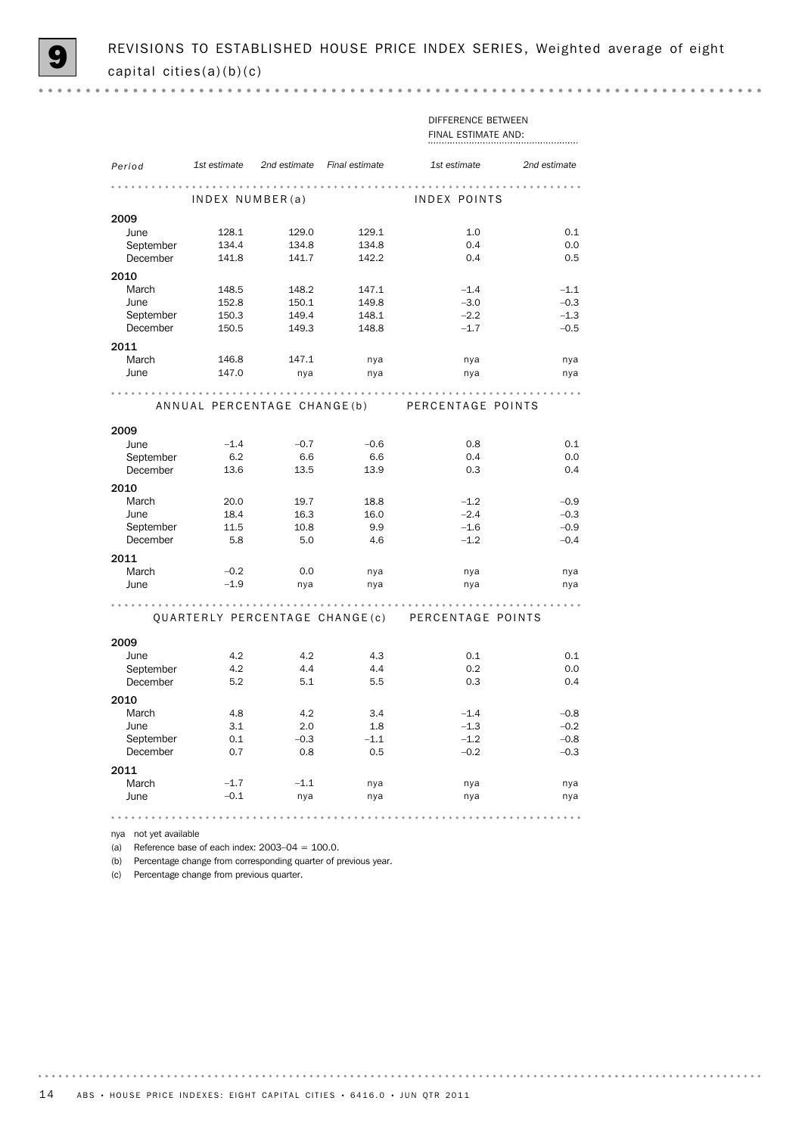$0.000$ 

|                       |                 |                                          |        | DIFFERENCE BETWEEN                               |              |
|-----------------------|-----------------|------------------------------------------|--------|--------------------------------------------------|--------------|
|                       |                 |                                          |        | FINAL ESTIMATE AND:                              |              |
|                       |                 |                                          |        |                                                  |              |
| Period                |                 | 1st estimate 2nd estimate Final estimate |        | 1st estimate                                     | 2nd estimate |
|                       |                 |                                          |        |                                                  |              |
|                       |                 |                                          |        |                                                  |              |
|                       | INDEX NUMBER(a) |                                          |        | INDEX POINTS                                     |              |
| 2009                  |                 |                                          |        |                                                  |              |
| June                  | 128.1           | 129.0                                    | 129.1  | 1.0                                              | 0.1          |
| September             | 134.4           | 134.8                                    | 134.8  | 0.4                                              | 0.0          |
| December              | 141.8           | 141.7                                    | 142.2  | 0.4                                              | 0.5          |
| 2010                  |                 |                                          |        |                                                  |              |
| March                 | 148.5           | 148.2                                    | 147.1  | $-1.4$                                           | $-1.1$       |
| June                  | 152.8           | 150.1                                    | 149.8  | $-3.0$                                           | $-0.3$       |
| September             | 150.3           | 149.4                                    | 148.1  | $-2.2$                                           | $-1.3$       |
| December              | 150.5           | 149.3                                    | 148.8  | $-1.7$                                           | $-0.5$       |
| 2011                  |                 |                                          |        |                                                  |              |
| March                 |                 |                                          |        |                                                  |              |
| June                  | 146.8<br>147.0  | 147.1                                    | nya    | nya                                              | nya          |
|                       |                 | nya                                      | nya    | nya                                              | nya          |
|                       |                 |                                          |        |                                                  |              |
|                       |                 |                                          |        | ANNUAL PERCENTAGE CHANGE(b) PERCENTAGE POINTS    |              |
|                       |                 |                                          |        |                                                  |              |
| 2009                  |                 |                                          |        |                                                  |              |
| June                  | $-1.4$          | $-0.7$                                   | $-0.6$ | 0.8                                              | 0.1          |
| September             | 6.2             | 6.6                                      | 6.6    | 0.4                                              | 0.0          |
| December              | 13.6            | 13.5                                     | 13.9   | 0.3                                              | 0.4          |
| 2010                  |                 |                                          |        |                                                  |              |
| March                 | 20.0            | 19.7                                     | 18.8   | $-1.2$                                           | $-0.9$       |
| June                  | 18.4            | 16.3                                     | 16.0   | $-2.4$                                           | $-0.3$       |
| September             | 11.5            | 10.8                                     | 9.9    | $-1.6$                                           | $-0.9$       |
| December              | - 5.8           | 5.0                                      | 4.6    | $-1.2$                                           | $-0.4$       |
| 2011                  |                 |                                          |        |                                                  |              |
| March                 | $-0.2$          | 0.0                                      | nya    | nya                                              | nya          |
| June                  | $-1.9$          | nya                                      | nya    | nya                                              | nya          |
|                       |                 |                                          |        |                                                  |              |
|                       |                 |                                          |        |                                                  | .            |
|                       |                 |                                          |        | QUARTERLY PERCENTAGE CHANGE(c) PERCENTAGE POINTS |              |
|                       |                 |                                          |        |                                                  |              |
| 2009<br>June          |                 | 4.2                                      | 4.3    |                                                  |              |
|                       | 4.2<br>4.2      | 4.4                                      | 4.4    | 0.1<br>0.2                                       | 0.1          |
| September<br>December | 5.2             | 5.1                                      | 5.5    | 0.3                                              | 0.0<br>0.4   |
|                       |                 |                                          |        |                                                  |              |
| 2010                  |                 |                                          |        |                                                  |              |
| March                 | 4.8             | 4.2                                      | 3.4    | $-1.4$                                           | $-0.8$       |
| June                  | 3.1             | 2.0                                      | 1.8    | $-1.3$                                           | $-0.2$       |
| September             | 0.1             | $-0.3$                                   | $-1.1$ | $-1.2$                                           | $-0.8$       |
| December              | 0.7             | 0.8                                      | 0.5    | $-0.2$                                           | $-0.3$       |
| 2011                  |                 |                                          |        |                                                  |              |
| March                 | $-1.7$          | $-1.1$                                   | nya    | nya                                              | nya          |
| June                  | $-0.1$          | nya                                      | nya    | nya                                              | nya          |
|                       |                 |                                          |        | .                                                | .            |
|                       |                 |                                          |        |                                                  |              |

nya not yet available

(a) Reference base of each index:  $2003-04 = 100.0$ .

(b) Percentage change from corresponding quarter of previous year.

(c) Percentage change from previous quarter.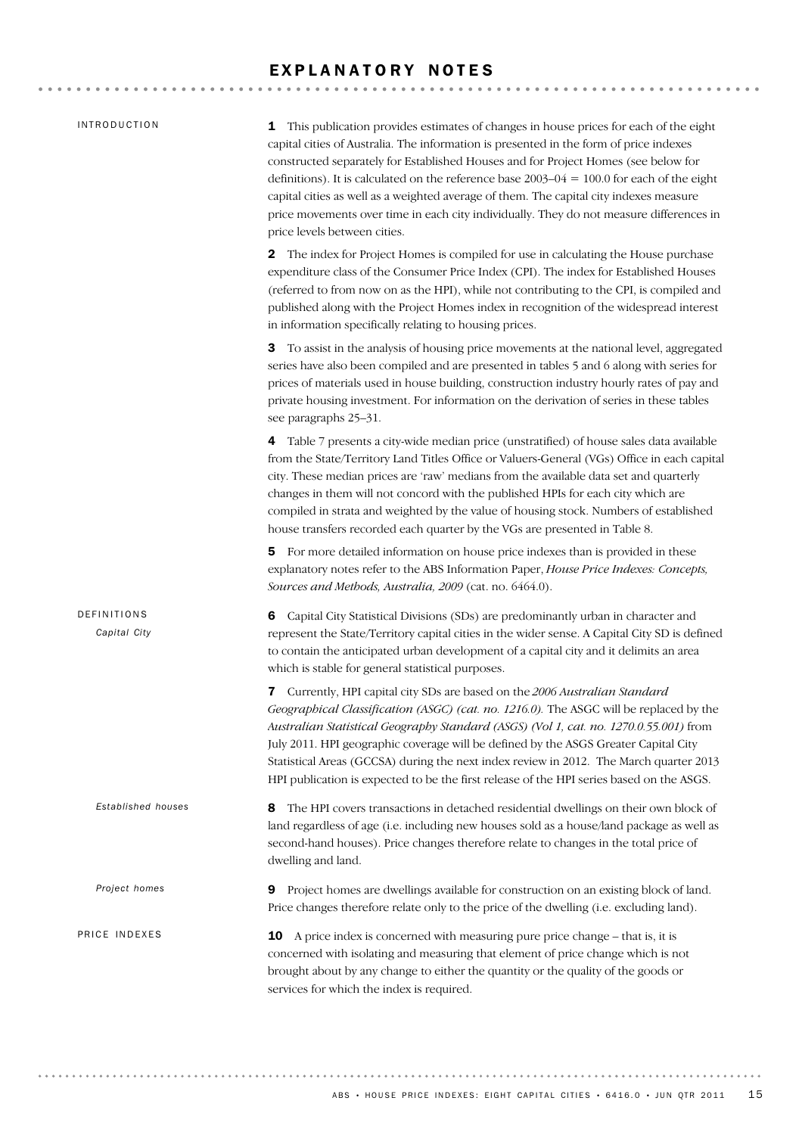# EXPLANATORY NOTES

| <i><b>INTRODUCTION</b></i>  | This publication provides estimates of changes in house prices for each of the eight<br>1<br>capital cities of Australia. The information is presented in the form of price indexes<br>constructed separately for Established Houses and for Project Homes (see below for<br>definitions). It is calculated on the reference base $2003-04 = 100.0$ for each of the eight<br>capital cities as well as a weighted average of them. The capital city indexes measure<br>price movements over time in each city individually. They do not measure differences in<br>price levels between cities. |
|-----------------------------|------------------------------------------------------------------------------------------------------------------------------------------------------------------------------------------------------------------------------------------------------------------------------------------------------------------------------------------------------------------------------------------------------------------------------------------------------------------------------------------------------------------------------------------------------------------------------------------------|
|                             | <b>2</b> The index for Project Homes is compiled for use in calculating the House purchase<br>expenditure class of the Consumer Price Index (CPI). The index for Established Houses<br>(referred to from now on as the HPI), while not contributing to the CPI, is compiled and<br>published along with the Project Homes index in recognition of the widespread interest<br>in information specifically relating to housing prices.                                                                                                                                                           |
|                             | To assist in the analysis of housing price movements at the national level, aggregated<br>3<br>series have also been compiled and are presented in tables 5 and 6 along with series for<br>prices of materials used in house building, construction industry hourly rates of pay and<br>private housing investment. For information on the derivation of series in these tables<br>see paragraphs 25–31.                                                                                                                                                                                       |
|                             | 4 Table 7 presents a city-wide median price (unstratified) of house sales data available<br>from the State/Territory Land Titles Office or Valuers-General (VGs) Office in each capital<br>city. These median prices are 'raw' medians from the available data set and quarterly<br>changes in them will not concord with the published HPIs for each city which are<br>compiled in strata and weighted by the value of housing stock. Numbers of established<br>house transfers recorded each quarter by the VGs are presented in Table 8.                                                    |
|                             | For more detailed information on house price indexes than is provided in these<br>5.<br>explanatory notes refer to the ABS Information Paper, House Price Indexes: Concepts,<br>Sources and Methods, Australia, 2009 (cat. no. 6464.0).                                                                                                                                                                                                                                                                                                                                                        |
| DEFINITIONS<br>Capital City | Capital City Statistical Divisions (SDs) are predominantly urban in character and<br>6<br>represent the State/Territory capital cities in the wider sense. A Capital City SD is defined<br>to contain the anticipated urban development of a capital city and it delimits an area<br>which is stable for general statistical purposes.                                                                                                                                                                                                                                                         |
|                             | Currently, HPI capital city SDs are based on the 2006 Australian Standard<br>7<br><i>Geographical Classification (ASGC) (cat. no. 1216.0).</i> The ASGC will be replaced by the<br>Australian Statistical Geography Standard (ASGS) (Vol 1, cat. no. 1270.0.55.001) from<br>July 2011. HPI geographic coverage will be defined by the ASGS Greater Capital City<br>Statistical Areas (GCCSA) during the next index review in 2012. The March quarter 2013<br>HPI publication is expected to be the first release of the HPI series based on the ASGS.                                          |
| Established houses          | The HPI covers transactions in detached residential dwellings on their own block of<br>8<br>land regardless of age (i.e. including new houses sold as a house/land package as well as<br>second-hand houses). Price changes therefore relate to changes in the total price of<br>dwelling and land.                                                                                                                                                                                                                                                                                            |
| Project homes               | Project homes are dwellings available for construction on an existing block of land.<br>9<br>Price changes therefore relate only to the price of the dwelling (i.e. excluding land).                                                                                                                                                                                                                                                                                                                                                                                                           |
| PRICE INDEXES               | <b>10</b> A price index is concerned with measuring pure price change – that is, it is<br>concerned with isolating and measuring that element of price change which is not<br>brought about by any change to either the quantity or the quality of the goods or<br>services for which the index is required.                                                                                                                                                                                                                                                                                   |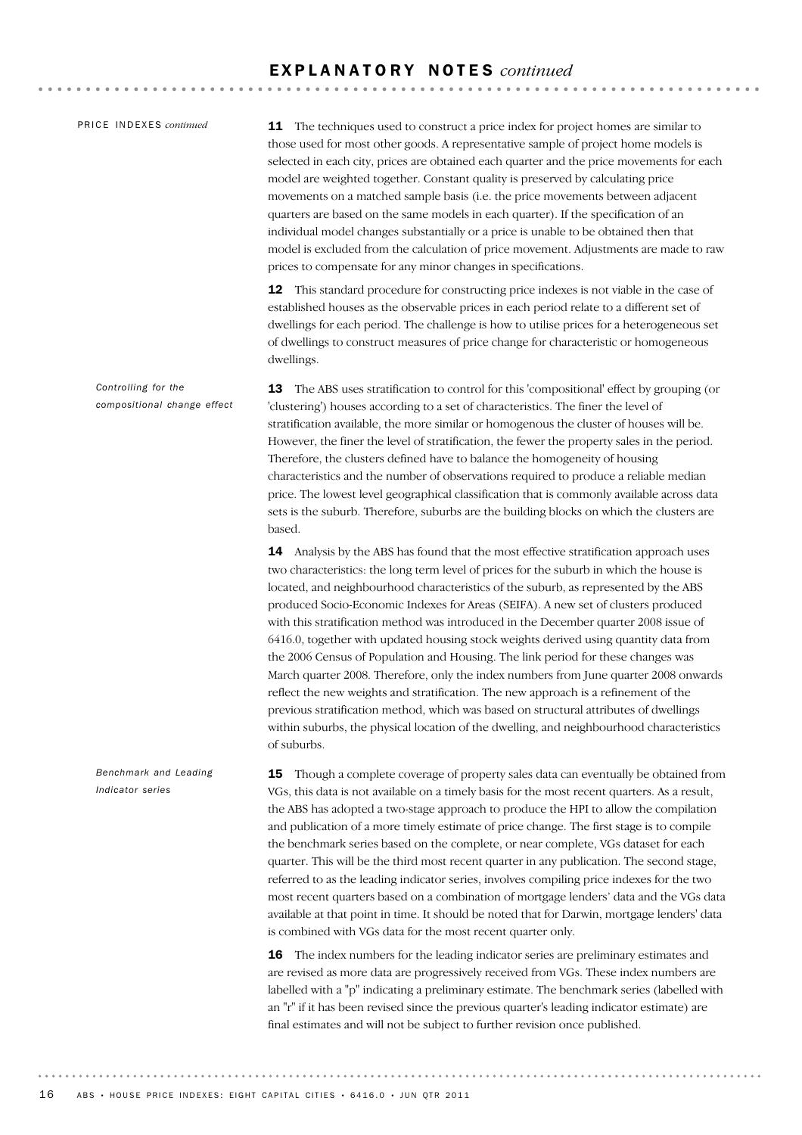PRICE INDEXES *continued* 

**11** The techniques used to construct a price index for project homes are similar to those used for most other goods. A representative sample of project home models is selected in each city, prices are obtained each quarter and the price movements for each model are weighted together. Constant quality is preserved by calculating price movements on a matched sample basis (i.e. the price movements between adjacent quarters are based on the same models in each quarter). If the specification of an individual model changes substantially or a price is unable to be obtained then that model is excluded from the calculation of price movement. Adjustments are made to raw prices to compensate for any minor changes in specifications.

12 This standard procedure for constructing price indexes is not viable in the case of established houses as the observable prices in each period relate to a different set of dwellings for each period. The challenge is how to utilise prices for a heterogeneous set of dwellings to construct measures of price change for characteristic or homogeneous dwellings.

13 The ABS uses stratification to control for this 'compositional' effect by grouping (or 'clustering') houses according to a set of characteristics. The finer the level of stratification available, the more similar or homogenous the cluster of houses will be. However, the finer the level of stratification, the fewer the property sales in the period. Therefore, the clusters defined have to balance the homogeneity of housing characteristics and the number of observations required to produce a reliable median price. The lowest level geographical classification that is commonly available across data sets is the suburb. Therefore, suburbs are the building blocks on which the clusters are based. *Controlling for the compositional change effect*

> 14 Analysis by the ABS has found that the most effective stratification approach uses two characteristics: the long term level of prices for the suburb in which the house is located, and neighbourhood characteristics of the suburb, as represented by the ABS produced Socio-Economic Indexes for Areas (SEIFA). A new set of clusters produced with this stratification method was introduced in the December quarter 2008 issue of 6416.0, together with updated housing stock weights derived using quantity data from the 2006 Census of Population and Housing. The link period for these changes was March quarter 2008. Therefore, only the index numbers from June quarter 2008 onwards reflect the new weights and stratification. The new approach is a refinement of the previous stratification method, which was based on structural attributes of dwellings within suburbs, the physical location of the dwelling, and neighbourhood characteristics of suburbs.

15 Though a complete coverage of property sales data can eventually be obtained from VGs, this data is not available on a timely basis for the most recent quarters. As a result, the ABS has adopted a two-stage approach to produce the HPI to allow the compilation and publication of a more timely estimate of price change. The first stage is to compile the benchmark series based on the complete, or near complete, VGs dataset for each quarter. This will be the third most recent quarter in any publication. The second stage, referred to as the leading indicator series, involves compiling price indexes for the two most recent quarters based on a combination of mortgage lenders' data and the VGs data available at that point in time. It should be noted that for Darwin, mortgage lenders' data is combined with VGs data for the most recent quarter only.

> 16 The index numbers for the leading indicator series are preliminary estimates and are revised as more data are progressively received from VGs. These index numbers are labelled with a "p" indicating a preliminary estimate. The benchmark series (labelled with an "r" if it has been revised since the previous quarter's leading indicator estimate) are final estimates and will not be subject to further revision once published.

*Benchmark and Leading Indicator series*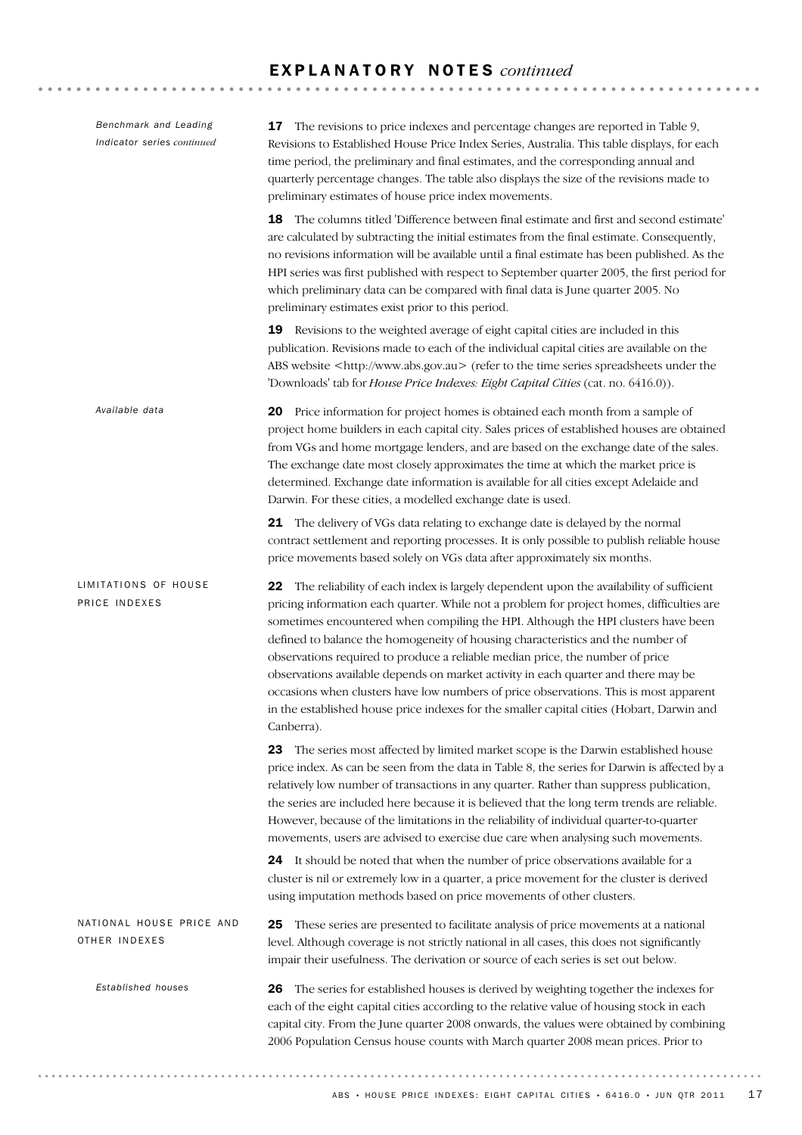| Benchmark and Leading<br>Indicator series continued | <b>17</b> The revisions to price indexes and percentage changes are reported in Table 9,<br>Revisions to Established House Price Index Series, Australia. This table displays, for each<br>time period, the preliminary and final estimates, and the corresponding annual and<br>quarterly percentage changes. The table also displays the size of the revisions made to<br>preliminary estimates of house price index movements.                                                                                                                                                                                                                                                                                                            |
|-----------------------------------------------------|----------------------------------------------------------------------------------------------------------------------------------------------------------------------------------------------------------------------------------------------------------------------------------------------------------------------------------------------------------------------------------------------------------------------------------------------------------------------------------------------------------------------------------------------------------------------------------------------------------------------------------------------------------------------------------------------------------------------------------------------|
|                                                     | The columns titled 'Difference between final estimate and first and second estimate'<br>18<br>are calculated by subtracting the initial estimates from the final estimate. Consequently,<br>no revisions information will be available until a final estimate has been published. As the<br>HPI series was first published with respect to September quarter 2005, the first period for<br>which preliminary data can be compared with final data is June quarter 2005. No<br>preliminary estimates exist prior to this period.                                                                                                                                                                                                              |
|                                                     | Revisions to the weighted average of eight capital cities are included in this<br>19<br>publication. Revisions made to each of the individual capital cities are available on the<br>ABS website <http: www.abs.gov.au=""> (refer to the time series spreadsheets under the<br/>'Downloads' tab for House Price Indexes: Eight Capital Cities (cat. no. 6416.0)).</http:>                                                                                                                                                                                                                                                                                                                                                                    |
| Available data                                      | 20 Price information for project homes is obtained each month from a sample of<br>project home builders in each capital city. Sales prices of established houses are obtained<br>from VGs and home mortgage lenders, and are based on the exchange date of the sales.<br>The exchange date most closely approximates the time at which the market price is<br>determined. Exchange date information is available for all cities except Adelaide and<br>Darwin. For these cities, a modelled exchange date is used.                                                                                                                                                                                                                           |
|                                                     | 21 The delivery of VGs data relating to exchange date is delayed by the normal<br>contract settlement and reporting processes. It is only possible to publish reliable house<br>price movements based solely on VGs data after approximately six months.                                                                                                                                                                                                                                                                                                                                                                                                                                                                                     |
| LIMITATIONS OF HOUSE<br>PRICE INDEXES               | The reliability of each index is largely dependent upon the availability of sufficient<br>22<br>pricing information each quarter. While not a problem for project homes, difficulties are<br>sometimes encountered when compiling the HPI. Although the HPI clusters have been<br>defined to balance the homogeneity of housing characteristics and the number of<br>observations required to produce a reliable median price, the number of price<br>observations available depends on market activity in each quarter and there may be<br>occasions when clusters have low numbers of price observations. This is most apparent<br>in the established house price indexes for the smaller capital cities (Hobart, Darwin and<br>Canberra). |
|                                                     | The series most affected by limited market scope is the Darwin established house<br>23<br>price index. As can be seen from the data in Table 8, the series for Darwin is affected by a<br>relatively low number of transactions in any quarter. Rather than suppress publication,<br>the series are included here because it is believed that the long term trends are reliable.<br>However, because of the limitations in the reliability of individual quarter-to-quarter<br>movements, users are advised to exercise due care when analysing such movements.                                                                                                                                                                              |
|                                                     | 24 It should be noted that when the number of price observations available for a<br>cluster is nil or extremely low in a quarter, a price movement for the cluster is derived<br>using imputation methods based on price movements of other clusters.                                                                                                                                                                                                                                                                                                                                                                                                                                                                                        |
| NATIONAL HOUSE PRICE AND<br>OTHER INDEXES           | These series are presented to facilitate analysis of price movements at a national<br>25<br>level. Although coverage is not strictly national in all cases, this does not significantly<br>impair their usefulness. The derivation or source of each series is set out below.                                                                                                                                                                                                                                                                                                                                                                                                                                                                |
| Established houses                                  | The series for established houses is derived by weighting together the indexes for<br>26<br>each of the eight capital cities according to the relative value of housing stock in each<br>capital city. From the June quarter 2008 onwards, the values were obtained by combining<br>2006 Population Census house counts with March quarter 2008 mean prices. Prior to                                                                                                                                                                                                                                                                                                                                                                        |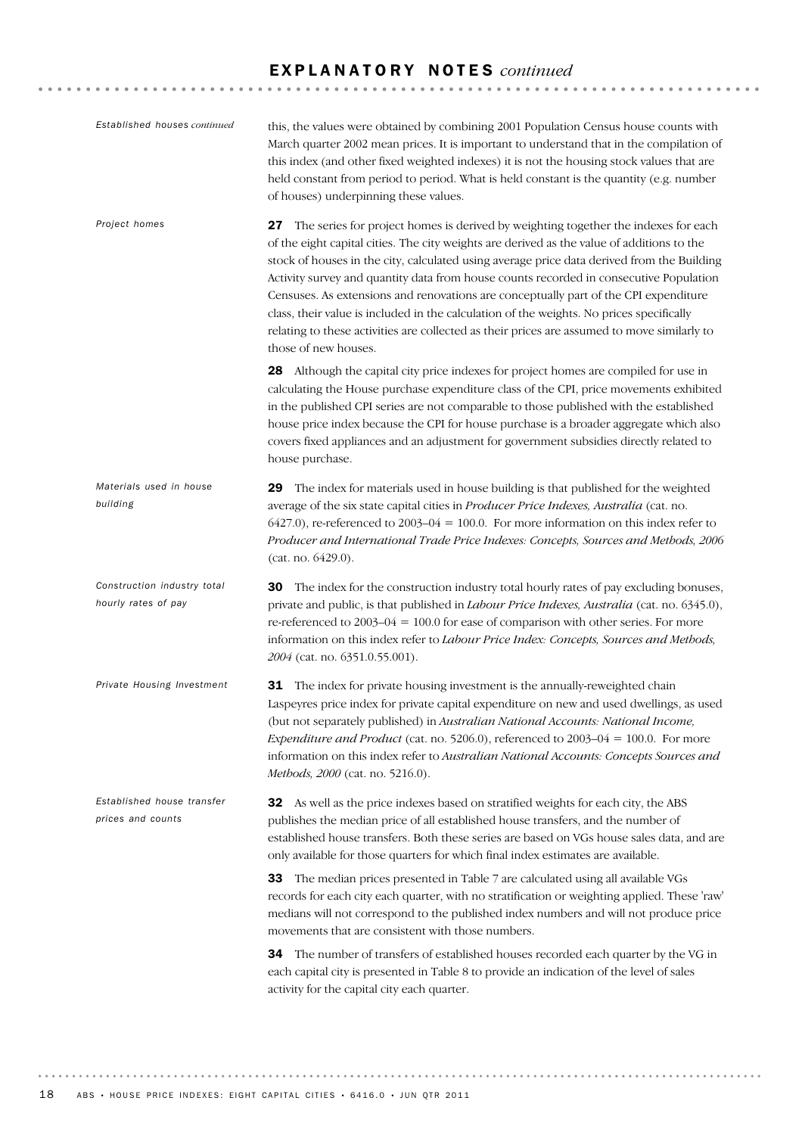| Established houses continued                       | this, the values were obtained by combining 2001 Population Census house counts with<br>March quarter 2002 mean prices. It is important to understand that in the compilation of<br>this index (and other fixed weighted indexes) it is not the housing stock values that are<br>held constant from period to period. What is held constant is the quantity (e.g. number<br>of houses) underpinning these values.                                                                                                                                                                                                                                                                         |  |  |
|----------------------------------------------------|-------------------------------------------------------------------------------------------------------------------------------------------------------------------------------------------------------------------------------------------------------------------------------------------------------------------------------------------------------------------------------------------------------------------------------------------------------------------------------------------------------------------------------------------------------------------------------------------------------------------------------------------------------------------------------------------|--|--|
| Project homes                                      | The series for project homes is derived by weighting together the indexes for each<br>27<br>of the eight capital cities. The city weights are derived as the value of additions to the<br>stock of houses in the city, calculated using average price data derived from the Building<br>Activity survey and quantity data from house counts recorded in consecutive Population<br>Censuses. As extensions and renovations are conceptually part of the CPI expenditure<br>class, their value is included in the calculation of the weights. No prices specifically<br>relating to these activities are collected as their prices are assumed to move similarly to<br>those of new houses. |  |  |
|                                                    | 28 Although the capital city price indexes for project homes are compiled for use in<br>calculating the House purchase expenditure class of the CPI, price movements exhibited<br>in the published CPI series are not comparable to those published with the established<br>house price index because the CPI for house purchase is a broader aggregate which also<br>covers fixed appliances and an adjustment for government subsidies directly related to<br>house purchase.                                                                                                                                                                                                           |  |  |
| Materials used in house<br>building                | The index for materials used in house building is that published for the weighted<br>29<br>average of the six state capital cities in Producer Price Indexes, Australia (cat. no.<br>$6427.0$ ), re-referenced to 2003–04 = 100.0. For more information on this index refer to<br>Producer and International Trade Price Indexes: Concepts, Sources and Methods, 2006<br>(cat. no. 6429.0).                                                                                                                                                                                                                                                                                               |  |  |
| Construction industry total<br>hourly rates of pay | 30<br>The index for the construction industry total hourly rates of pay excluding bonuses,<br>private and public, is that published in <i>Labour Price Indexes</i> , <i>Australia</i> (cat. no. 6345.0),<br>re-referenced to 2003–04 = 100.0 for ease of comparison with other series. For more<br>information on this index refer to Labour Price Index: Concepts, Sources and Methods,<br>2004 (cat. no. 6351.0.55.001).                                                                                                                                                                                                                                                                |  |  |
| Private Housing Investment                         | 31 The index for private housing investment is the annually-reweighted chain<br>Laspeyres price index for private capital expenditure on new and used dwellings, as used<br>(but not separately published) in Australian National Accounts: National Income,<br><i>Expenditure and Product</i> (cat. no. 5206.0), referenced to 2003-04 = 100.0. For more<br>information on this index refer to Australian National Accounts: Concepts Sources and<br>Methods, 2000 (cat. no. 5216.0).                                                                                                                                                                                                    |  |  |
| Established house transfer<br>prices and counts    | 32 As well as the price indexes based on stratified weights for each city, the ABS<br>publishes the median price of all established house transfers, and the number of<br>established house transfers. Both these series are based on VGs house sales data, and are<br>only available for those quarters for which final index estimates are available.                                                                                                                                                                                                                                                                                                                                   |  |  |
|                                                    | The median prices presented in Table 7 are calculated using all available VGs<br>33<br>records for each city each quarter, with no stratification or weighting applied. These 'raw'<br>medians will not correspond to the published index numbers and will not produce price<br>movements that are consistent with those numbers.                                                                                                                                                                                                                                                                                                                                                         |  |  |
|                                                    | The number of transfers of established houses recorded each quarter by the VG in<br>34<br>each capital city is presented in Table 8 to provide an indication of the level of sales<br>activity for the capital city each quarter.                                                                                                                                                                                                                                                                                                                                                                                                                                                         |  |  |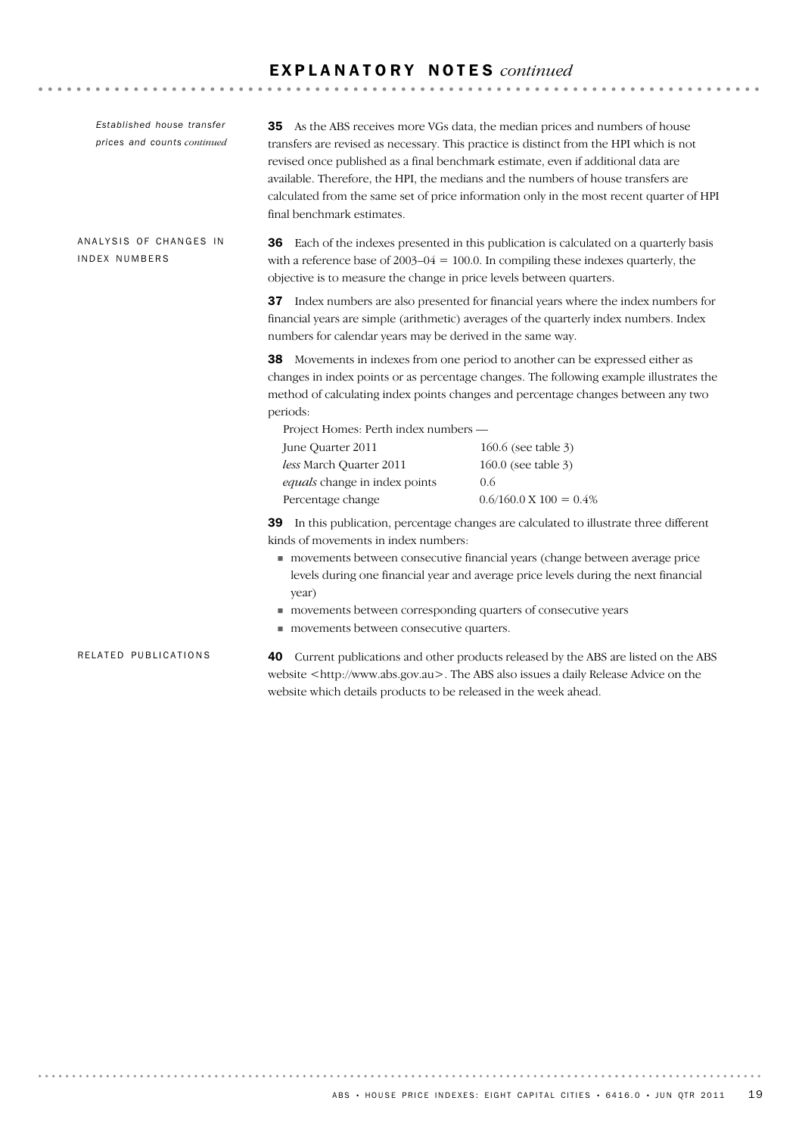. . . . . . . . . . . . . . . . . . . .

40 Current publications and other products released by the ABS are listed on the ABS website <http://www.abs.gov.au>. The ABS also issues a daily Release Advice on the website which details products to be released in the week ahead. RELATED PUBLICATIONS **36** Each of the indexes presented in this publication is calculated on a quarterly basis with a reference base of  $2003-04 = 100.0$ . In compiling these indexes quarterly, the objective is to measure the change in price levels between quarters. 37 Index numbers are also presented for financial years where the index numbers for financial years are simple (arithmetic) averages of the quarterly index numbers. Index numbers for calendar years may be derived in the same way. 38 Movements in indexes from one period to another can be expressed either as changes in index points or as percentage changes. The following example illustrates the method of calculating index points changes and percentage changes between any two periods: Project Homes: Perth index numbers — June Quarter 2011 160.6 (see table 3) *less* March Quarter 2011 160.0 (see table 3) *equals* change in index points 0.6 Percentage change  $0.6/160.0 \text{ X } 100 = 0.4\%$ 39 In this publication, percentage changes are calculated to illustrate three different kinds of movements in index numbers: ! movements between consecutive financial years (change between average price levels during one financial year and average price levels during the next financial year) ! movements between corresponding quarters of consecutive years ! movements between consecutive quarters. ANALYSIS OF CHANGES IN INDEX NUMBERS 35 As the ABS receives more VGs data, the median prices and numbers of house transfers are revised as necessary. This practice is distinct from the HPI which is not revised once published as a final benchmark estimate, even if additional data are available. Therefore, the HPI, the medians and the numbers of house transfers are calculated from the same set of price information only in the most recent quarter of HPI final benchmark estimates. *Established house transfer prices and counts continued*